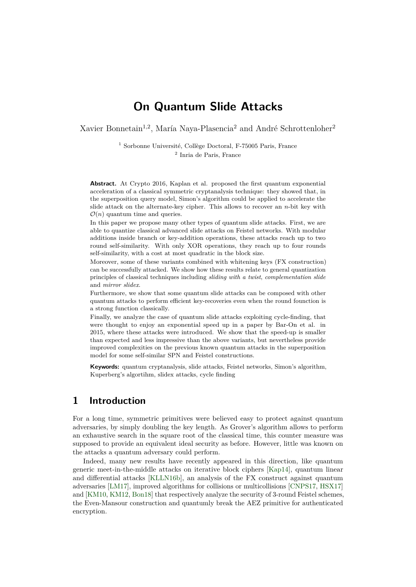# **On Quantum Slide Attacks**

Xavier Bonnetain<sup>1,2</sup>, María Naya-Plasencia<sup>2</sup> and André Schrottenloher<sup>2</sup>

 $^{\rm 1}$  Sorbonne Université, Collège Doctoral, F-75005 Paris, France 2 Inria de Paris, France

**Abstract.** At Crypto 2016, Kaplan et al. proposed the first quantum exponential acceleration of a classical symmetric cryptanalysis technique: they showed that, in the superposition query model, Simon's algorithm could be applied to accelerate the slide attack on the alternate-key cipher. This allows to recover an *n*-bit key with  $\mathcal{O}(n)$  quantum time and queries.

In this paper we propose many other types of quantum slide attacks. First, we are able to quantize classical advanced slide attacks on Feistel networks. With modular additions inside branch or key-addition operations, these attacks reach up to two round self-similarity. With only XOR operations, they reach up to four rounds self-similarity, with a cost at most quadratic in the block size.

Moreover, some of these variants combined with whitening keys (FX construction) can be successfully attacked. We show how these results relate to general quantization principles of classical techniques including *sliding with a twist*, *complementation slide* and *mirror slidex*.

Furthermore, we show that some quantum slide attacks can be composed with other quantum attacks to perform efficient key-recoveries even when the round founction is a strong function classically.

Finally, we analyze the case of quantum slide attacks exploiting cycle-finding, that were thought to enjoy an exponential speed up in a paper by Bar-On et al. in 2015, where these attacks were introduced. We show that the speed-up is smaller than expected and less impressive than the above variants, but nevertheless provide improved complexities on the previous known quantum attacks in the superposition model for some self-similar SPN and Feistel constructions.

**Keywords:** quantum cryptanalysis, slide attacks, Feistel networks, Simon's algorithm, Kuperberg's algortihm, slidex attacks, cycle finding

## **1 Introduction**

For a long time, symmetric primitives were believed easy to protect against quantum adversaries, by simply doubling the key length. As Grover's algorithm allows to perform an exhaustive search in the square root of the classical time, this counter measure was supposed to provide an equivalent ideal security as before. However, little was known on the attacks a quantum adversary could perform.

Indeed, many new results have recently appeared in this direction, like quantum generic meet-in-the-middle attacks on iterative block ciphers [\[Kap14\]](#page-24-0), quantum linear and differential attacks [\[KLLN16b\]](#page-24-1), an analysis of the FX construct against quantum adversaries [\[LM17\]](#page-25-0), improved algorithms for collisions or multicollisions [\[CNPS17,](#page-23-0) [HSX17\]](#page-24-2) and [\[KM10,](#page-24-3) [KM12,](#page-25-1) [Bon18\]](#page-23-1) that respectively analyze the security of 3-round Feistel schemes, the Even-Mansour construction and quantumly break the AEZ primitive for authenticated encryption.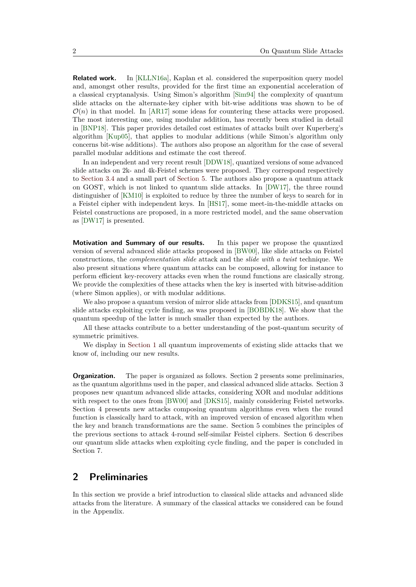**Related work.** In [\[KLLN16a\]](#page-24-4), Kaplan et al. considered the superposition query model and, amongst other results, provided for the first time an exponential acceleration of a classical cryptanalysis. Using Simon's algorithm [\[Sim94\]](#page-25-2) the complexity of quantum slide attacks on the alternate-key cipher with bit-wise additions was shown to be of  $\mathcal{O}(n)$  in that model. In [\[AR17\]](#page-23-2) some ideas for countering these attacks were proposed. The most interesting one, using modular addition, has recently been studied in detail in [\[BNP18\]](#page-23-3). This paper provides detailed cost estimates of attacks built over Kuperberg's algorithm [\[Kup05\]](#page-25-3), that applies to modular additions (while Simon's algorithm only concerns bit-wise additions). The authors also propose an algorithm for the case of several parallel modular additions and estimate the cost thereof.

In an independent and very recent result [\[DDW18\]](#page-24-5), quantized versions of some advanced slide attacks on 2k- and 4k-Feistel schemes were proposed. They correspond respectively to [Section 3.4](#page-10-0) and a small part of [Section 5.](#page-15-0) The authors also propose a quantum attack on GOST, which is not linked to quantum slide attacks. In [\[DW17\]](#page-24-6), the three round distinguisher of [\[KM10\]](#page-24-3) is exploited to reduce by three the number of keys to search for in a Feistel cipher with independent keys. In [\[HS17\]](#page-24-7), some meet-in-the-middle attacks on Feistel constructions are proposed, in a more restricted model, and the same observation as [\[DW17\]](#page-24-6) is presented.

<span id="page-1-0"></span>**Motivation and Summary of our results.** In this paper we propose the quantized version of several advanced slide attacks proposed in [\[BW00\]](#page-23-4), like slide attacks on Feistel constructions, the *complementation slide* attack and the *slide with a twist* technique. We also present situations where quantum attacks can be composed, allowing for instance to perform efficient key-recovery attacks even when the round functions are clasically strong. We provide the complexities of these attacks when the key is inserted with bitwise-addition (where Simon applies), or with modular additions.

We also propose a quantum version of mirror slide attacks from [\[DDKS15\]](#page-24-8), and quantum slide attacks exploiting cycle finding, as was proposed in [\[BOBDK18\]](#page-23-5). We show that the quantum speedup of the latter is much smaller than expected by the authors.

All these attacks contribute to a better understanding of the post-quantum security of symmetric primitives.

We display in [Section 1](#page-1-0) all quantum improvements of existing slide attacks that we know of, including our new results.

**Organization.** The paper is organized as follows. Section 2 presents some preliminaries, as the quantum algorithms used in the paper, and classical advanced slide attacks. Section 3 proposes new quantum advanced slide attacks, considering XOR and modular additions with respect to the ones from [\[BW00\]](#page-23-4) and [\[DKS15\]](#page-24-9), mainly considering Feistel networks. Section 4 presents new attacks composing quantum algorithms even when the round function is classically hard to attack, with an improved version of encased algorithm when the key and branch transformations are the same. Section 5 combines the principles of the previous sections to attack 4-round self-similar Feistel ciphers. Section 6 describes our quantum slide attacks when exploiting cycle finding, and the paper is concluded in Section 7.

### **2 Preliminaries**

In this section we provide a brief introduction to classical slide attacks and advanced slide attacks from the literature. A summary of the classical attacks we considered can be found in the Appendix.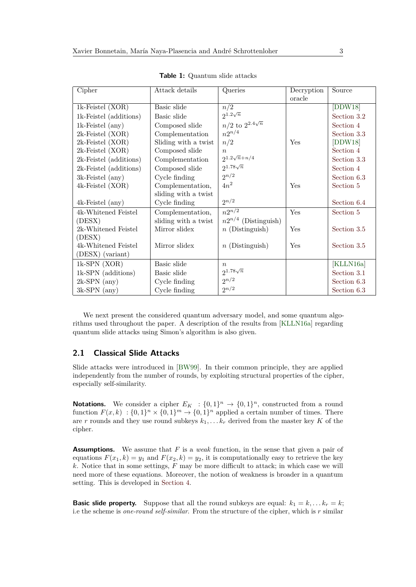| Cipher                 | Attack details       | Queries                    | Decryption | Source      |
|------------------------|----------------------|----------------------------|------------|-------------|
|                        |                      |                            | oracle     |             |
| 1k-Feistel (XOR)       | Basic slide          | n/2                        |            | [DDW18]     |
| 1k-Feistel (additions) | Basic slide          | $2^{1.2\sqrt{n}}$          |            | Section 3.2 |
| $1k$ -Feistel $(any)$  | Composed slide       | $n/2$ to $2^{2.4\sqrt{n}}$ |            | Section 4   |
| 2k-Feistel (XOR)       | Complementation      | $n2^{n/4}$                 |            | Section 3.3 |
| 2k-Feistel (XOR)       | Sliding with a twist | n/2                        | Yes        | [DDW18]     |
| 2k-Feistel (XOR)       | Composed slide       | $\eta$                     |            | Section 4   |
| 2k-Feistel (additions) | Complementation      | $2^{1.2\sqrt{n}+n/4}$      |            | Section 3.3 |
| 2k-Feistel (additions) | Composed slide       | $2^{1.78\sqrt{n}}$         |            | Section 4   |
| 3k-Feistel (any)       | Cycle finding        | $2^{n/2}$                  |            | Section 6.3 |
| 4k-Feistel (XOR)       | Complementation,     | $4n^2$                     | Yes        | Section 5   |
|                        | sliding with a twist |                            |            |             |
| 4k-Feistel (any)       | Cycle finding        | $2^{n/2}$                  |            | Section 6.4 |
| 4k-Whitened Feistel    | Complementation,     | $n2^{n/2}$                 | Yes        | Section 5   |
| (DESX)                 | sliding with a twist | $n2^{n/4}$ (Distinguish)   |            |             |
| 2k-Whitened Feistel    | Mirror slidex        | $n$ (Distinguish)          | Yes        | Section 3.5 |
| (DESX)                 |                      |                            |            |             |
| 4k-Whitened Feistel    | Mirror slidex        | $n$ (Distinguish)          | Yes        | Section 3.5 |
| (DESX) (variant)       |                      |                            |            |             |
| $1k$ -SPN $(XOR)$      | Basic slide          | $\boldsymbol{n}$           |            | [KLLN16a]   |
| 1k-SPN (additions)     | Basic slide          | $2^{1.78\sqrt{n}}$         |            | Section 3.1 |
| $2k$ -SPN $(any)$      | Cycle finding        | $2^{n/2}$                  |            | Section 6.3 |
| $3k$ -SPN $(any)$      | Cycle finding        | $2^{n/2}$                  |            | Section 6.3 |

**Table 1:** Quantum slide attacks

We next present the considered quantum adversary model, and some quantum algorithms used throughout the paper. A description of the results from [\[KLLN16a\]](#page-24-4) regarding quantum slide attacks using Simon's algorithm is also given.

#### **2.1 Classical Slide Attacks**

Slide attacks were introduced in [\[BW99\]](#page-23-6). In their common principle, they are applied independently from the number of rounds, by exploiting structural properties of the cipher, especially self-similarity.

**Notations.** We consider a cipher  $E_K$  :  $\{0,1\}^n \to \{0,1\}^n$ , constructed from a round function  $F(x, k) : \{0, 1\}^n \times \{0, 1\}^m \rightarrow \{0, 1\}^n$  applied a certain number of times. There are *r* rounds and they use round subkeys  $k_1, \ldots, k_r$  derived from the master key K of the cipher.

**Assumptions.** We assume that *F* is a *weak* function, in the sense that given a pair of equations  $F(x_1, k) = y_1$  and  $F(x_2, k) = y_2$ , it is computationally easy to retrieve the key *k*. Notice that in some settings, *F* may be more difficult to attack; in which case we will need more of these equations. Moreover, the notion of weakness is broader in a quantum setting. This is developed in [Section 4.](#page-13-0)

**Basic slide property.** Suppose that all the round subkeys are equal:  $k_1 = k, \ldots k_r = k$ ; i.e the scheme is *one-round self-similar*. From the structure of the cipher, which is *r* similar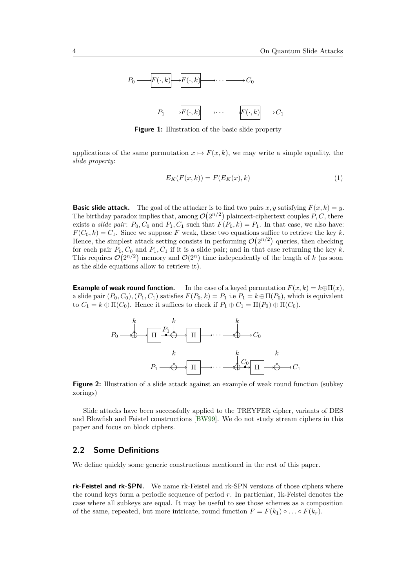

**Figure 1:** Illustration of the basic slide property

applications of the same permutation  $x \mapsto F(x, k)$ , we may write a simple equality, the *slide property*:

$$
E_K(F(x,k)) = F(E_K(x),k)
$$
\n<sup>(1)</sup>

**Basic slide attack.** The goal of the attacker is to find two pairs *x*, *y* satisfying  $F(x, k) = y$ . The birthday paradox implies that, among  $\mathcal{O}(2^{n/2})$  plaintext-ciphertext couples P, C, there exists a *slide pair*:  $P_0$ ,  $C_0$  and  $P_1$ ,  $C_1$  such that  $F(P_0, k) = P_1$ . In that case, we also have:  $F(C_0, k) = C_1$ . Since we suppose *F* weak, these two equations suffice to retrieve the key *k*. Hence, the simplest attack setting consists in performing  $\mathcal{O}(2^{n/2})$  queries, then checking for each pair  $P_0, C_0$  and  $P_1, C_1$  if it is a slide pair; and in that case returning the key k. This requires  $\mathcal{O}(2^{n/2})$  memory and  $\mathcal{O}(2^n)$  time independently of the length of *k* (as soon as the slide equations allow to retrieve it).

**Example of weak round function.** In the case of a keyed permutation  $F(x, k) = k \oplus \Pi(x)$ , a slide pair  $(P_0, C_0)$ ,  $(P_1, C_1)$  satisfies  $F(P_0, k) = P_1$  i.e  $P_1 = k \oplus \Pi(P_0)$ , which is equivalent to  $C_1 = k \oplus \Pi(C_0)$ . Hence it suffices to check if  $P_1 \oplus C_1 = \Pi(P_0) \oplus \Pi(C_0)$ .

<span id="page-3-0"></span>

**Figure 2:** Illustration of a slide attack against an example of weak round function (subkey xorings)

Slide attacks have been successfully applied to the TREYFER cipher, variants of DES and Blowfish and Feistel constructions [\[BW99\]](#page-23-6). We do not study stream ciphers in this paper and focus on block ciphers.

#### **2.2 Some Definitions**

We define quickly some generic constructions mentioned in the rest of this paper.

**rk-Feistel and rk-SPN.** We name rk-Feistel and rk-SPN versions of those ciphers where the round keys form a periodic sequence of period *r*. In particular, 1k-Feistel denotes the case where all subkeys are equal. It may be useful to see those schemes as a composition of the same, repeated, but more intricate, round function  $F = F(k_1) \circ \ldots \circ F(k_r)$ .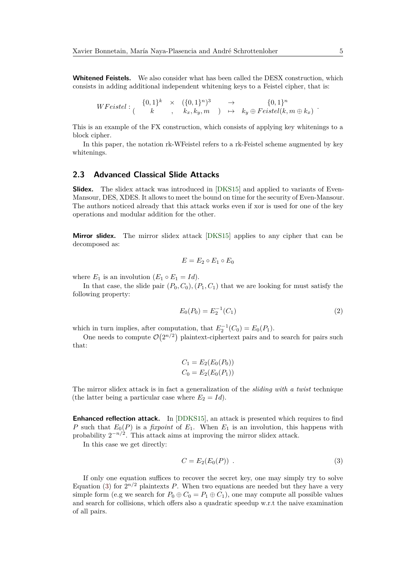**Whitened Feistels.** We also consider what has been called the DESX construction, which consists in adding additional independent whitening keys to a Feistel cipher, that is:

$$
WFeistel: \begin{array}{cccc} \{0,1\}^k & \times & (\{0,1\}^n)^3 & \to & \{0,1\}^n \\ k & , k_x, k_y, m & ) & \mapsto & k_y \oplus Feistel(k, m \oplus k_x) \end{array}
$$

This is an example of the FX construction, which consists of applying key whitenings to a block cipher.

In this paper, the notation rk-WFeistel refers to a rk-Feistel scheme augmented by key whitenings.

### **2.3 Advanced Classical Slide Attacks**

**Slidex.** The slidex attack was introduced in [\[DKS15\]](#page-24-9) and applied to variants of Even-Mansour, DES, XDES. It allows to meet the bound on time for the security of Even-Mansour. The authors noticed already that this attack works even if xor is used for one of the key operations and modular addition for the other.

**Mirror slidex.** The mirror slidex attack [\[DKS15\]](#page-24-9) applies to any cipher that can be decomposed as:

$$
E = E_2 \circ E_1 \circ E_0
$$

where  $E_1$  is an involution  $(E_1 \circ E_1 = Id)$ .

In that case, the slide pair  $(P_0, C_0)$ ,  $(P_1, C_1)$  that we are looking for must satisfy the following property:

$$
E_0(P_0) = E_2^{-1}(C_1)
$$
\n(2)

which in turn implies, after computation, that  $E_2^{-1}(C_0) = E_0(P_1)$ .

One needs to compute  $\mathcal{O}(2^{n/2})$  plaintext-ciphertext pairs and to search for pairs such that:

$$
C_1 = E_2(E_0(P_0))
$$
  

$$
C_0 = E_2(E_0(P_1))
$$

The mirror slidex attack is in fact a generalization of the *sliding with a twist* technique (the latter being a particular case where  $E_2 = Id$ ).

**Enhanced reflection attack.** In [\[DDKS15\]](#page-24-8), an attack is presented which requires to find *P* such that  $E_0(P)$  is a *fixpoint* of  $E_1$ . When  $E_1$  is an involution, this happens with probability  $2^{-n/2}$ . This attack aims at improving the mirror slidex attack.

In this case we get directly:

<span id="page-4-0"></span>
$$
C = E_2(E_0(P)) . \tag{3}
$$

If only one equation suffices to recover the secret key, one may simply try to solve Equation [\(3\)](#page-4-0) for  $2^{n/2}$  plaintexts P. When two equations are needed but they have a very simple form (e.g we search for  $P_0 \oplus C_0 = P_1 \oplus C_1$ ), one may compute all possible values and search for collisions, which offers also a quadratic speedup w.r.t the naive examination of all pairs.

*.*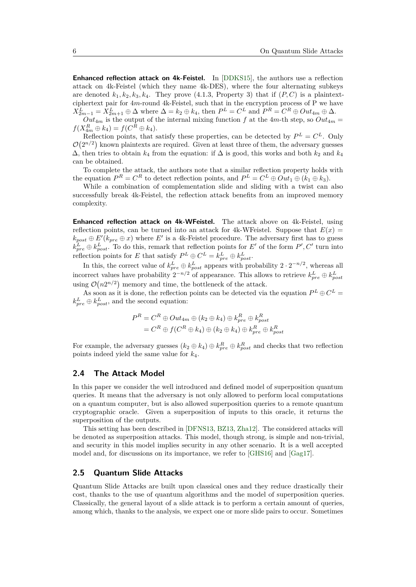**Enhanced reflection attack on 4k-Feistel.** In [\[DDKS15\]](#page-24-8), the authors use a reflection attack on 4k-Feistel (which they name 4k-DES), where the four alternating subkeys are denoted  $k_1, k_2, k_3, k_4$ . They prove (4.1.3, Property 3) that if  $(P, C)$  is a plaintextciphertext pair for 4*m*-round 4k-Feistel, such that in the encryption process of P we have  $X_{2m-1}^L = X_{2m+1}^L \oplus \Delta$  where  $\Delta = k_2 \oplus k_4$ , then  $P^L = C^L$  and  $P^R = C^R \oplus Out_{4m} \oplus \Delta$ .

 $Out_{4m}$  is the output of the internal mixing function *f* at the 4*m*-th step, so  $Out_{4m}$  =  $f(X_{4m}^R \oplus k_4) = f(C^R \oplus k_4).$ 

Reflection points, that satisfy these properties, can be detected by  $P^L = C^L$ . Only  $\mathcal{O}(2^{n/2})$  known plaintexts are required. Given at least three of them, the adversary guesses  $\Delta$ , then tries to obtain  $k_4$  from the equation: if  $\Delta$  is good, this works and both  $k_2$  and  $k_4$ can be obtained.

To complete the attack, the authors note that a similar reflection property holds with the equation  $P^R = C^R$  to detect reflection points, and  $P^L = C^L \oplus Out_1 \oplus (k_1 \oplus k_3)$ .

While a combination of complementation slide and sliding with a twist can also successfully break 4k-Feistel, the reflection attack benefits from an improved memory complexity.

**Enhanced reflection attack on 4k-WFeistel.** The attack above on 4k-Feistel, using reflection points, can be turned into an attack for 4k-WFeistel. Suppose that  $E(x)$  $k_{post} \oplus E'(k_{pre} \oplus x)$  where  $E'$  is a 4k-Feistel procedure. The adversary first has to guess  $k_{pre}^L \oplus k_{post}^L$ . To do this, remark that reflection points for *E*<sup>'</sup> of the form *P*', *C*' turn into reflection points for *E* that satisfy  $P^L \oplus C^L = k_{pre}^L \oplus k_{post}^L$ .

In this, the correct value of  $k_{pre}^L \oplus k_{post}^L$  appears with probability  $2 \cdot 2^{-n/2}$ , whereas all incorrect values have probability  $2^{-n/2}$  of appearance. This allows to retrieve  $k_{pre}^L \oplus k_{post}^L$ using  $\mathcal{O}(n2^{n/2})$  memory and time, the bottleneck of the attack.

As soon as it is done, the reflection points can be detected via the equation  $P^L \oplus C^L =$  $k_{pre}^L \oplus k_{post}^L$ , and the second equation:

$$
P^{R} = C^{R} \oplus Out_{4m} \oplus (k_{2} \oplus k_{4}) \oplus k_{pre}^{R} \oplus k_{post}^{R}
$$
  
=  $C^{R} \oplus f(C^{R} \oplus k_{4}) \oplus (k_{2} \oplus k_{4}) \oplus k_{pre}^{R} \oplus k_{post}^{R}$ 

For example, the adversary guesses  $(k_2 \oplus k_4) \oplus k_{pre}^R \oplus k_{post}^R$  and checks that two reflection points indeed yield the same value for *k*4.

#### **2.4 The Attack Model**

In this paper we consider the well introduced and defined model of superposition quantum queries. It means that the adversary is not only allowed to perform local computations on a quantum computer, but is also allowed superposition queries to a remote quantum cryptographic oracle. Given a superposition of inputs to this oracle, it returns the superposition of the outputs.

This setting has been described in [\[DFNS13,](#page-24-10) [BZ13,](#page-23-7) [Zha12\]](#page-25-4). The considered attacks will be denoted as superposition attacks. This model, though strong, is simple and non-trivial, and security in this model implies security in any other scenario. It is a well accepted model and, for discussions on its importance, we refer to [\[GHS16\]](#page-24-11) and [\[Gag17\]](#page-24-12).

#### <span id="page-5-0"></span>**2.5 Quantum Slide Attacks**

Quantum Slide Attacks are built upon classical ones and they reduce drastically their cost, thanks to the use of quantum algorithms and the model of superposition queries. Classically, the general layout of a slide attack is to perform a certain amount of queries, among which, thanks to the analysis, we expect one or more slide pairs to occur. Sometimes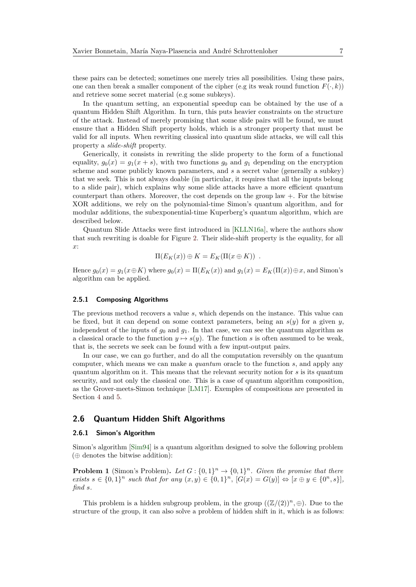these pairs can be detected; sometimes one merely tries all possibilities. Using these pairs, one can then break a smaller component of the cipher (e.g its weak round function  $F(\cdot, k)$ ) and retrieve some secret material (e.g some subkeys).

In the quantum setting, an exponential speedup can be obtained by the use of a quantum Hidden Shift Algorithm. In turn, this puts heavier constraints on the structure of the attack. Instead of merely promising that some slide pairs will be found, we must ensure that a Hidden Shift property holds, which is a stronger property that must be valid for all inputs. When rewriting classical into quantum slide attacks, we will call this property a *slide-shift* property.

Generically, it consists in rewriting the slide property to the form of a functional equality,  $g_0(x) = g_1(x + s)$ , with two functions  $g_0$  and  $g_1$  depending on the encryption scheme and some publicly known parameters, and *s* a secret value (generally a subkey) that we seek. This is not always doable (in particular, it requires that all the inputs belong to a slide pair), which explains why some slide attacks have a more efficient quantum counterpart than others. Moreover, the cost depends on the group law +. For the bitwise XOR additions, we rely on the polynomial-time Simon's quantum algorithm, and for modular additions, the subexponential-time Kuperberg's quantum algorithm, which are described below.

Quantum Slide Attacks were first introduced in [\[KLLN16a\]](#page-24-4), where the authors show that such rewriting is doable for Figure [2.](#page-3-0) Their slide-shift property is the equality, for all *x*:

$$
\Pi(E_K(x)) \oplus K = E_K(\Pi(x \oplus K)) .
$$

Hence  $g_0(x) = g_1(x \oplus K)$  where  $g_0(x) = \Pi(E_K(x))$  and  $g_1(x) = E_K(\Pi(x)) \oplus x$ , and Simon's algorithm can be applied.

#### **2.5.1 Composing Algorithms**

The previous method recovers a value *s*, which depends on the instance. This value can be fixed, but it can depend on some context parameters, being an  $s(y)$  for a given *y*, independent of the inputs of  $g_0$  and  $g_1$ . In that case, we can see the quantum algorithm as a classical oracle to the function  $y \mapsto s(y)$ . The function *s* is often assumed to be weak, that is, the secrets we seek can be found with a few input-output pairs.

In our case, we can go further, and do all the computation reversibly on the quantum computer, which means we can make a *quantum* oracle to the function *s*, and apply any quantum algorithm on it. This means that the relevant security notion for *s* is its quantum security, and not only the classical one. This is a case of quantum algorithm composition, as the Grover-meets-Simon technique [\[LM17\]](#page-25-0). Exemples of compositions are presented in Section [4](#page-13-0) and [5.](#page-15-0)

#### **2.6 Quantum Hidden Shift Algorithms**

#### **2.6.1 Simon's Algorithm**

Simon's algorithm [\[Sim94\]](#page-25-2) is a quantum algorithm designed to solve the following problem  $(\oplus$  denotes the bitwise addition):

**Problem 1** (Simon's Problem). Let  $G: \{0,1\}^n \to \{0,1\}^n$ . Given the promise that there *exists*  $s \in \{0,1\}^n$  *such that for any*  $(x, y) \in \{0,1\}^n$ ,  $[G(x) = G(y)] \Leftrightarrow [x \oplus y \in \{0^n, s\}],$ *find s.*

This problem is a hidden subgroup problem, in the group  $((\mathbb{Z}/(2))^n, \oplus)$ . Due to the structure of the group, it can also solve a problem of hidden shift in it, which is as follows: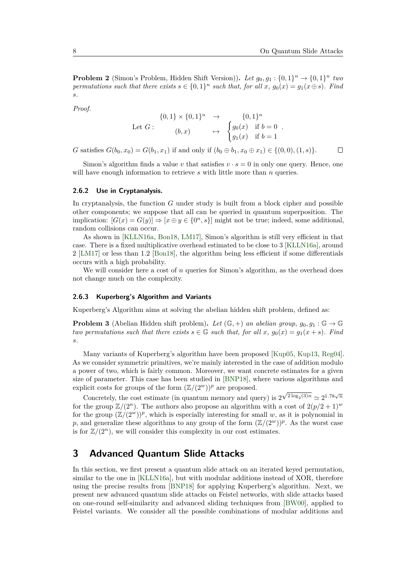**Problem 2** (Simon's Problem, Hidden Shift Version)). Let  $g_0, g_1 : \{0, 1\}^n \to \{0, 1\}^n$  two *permutations such that there exists*  $s \in \{0,1\}^n$  *such that, for all*  $x$ *,*  $g_0(x) = g_1(x \oplus s)$ *. Find s.*

*Proof.*

$$
\begin{array}{cccc}\n\{0,1\} \times \{0,1\}^n & \to & \{0,1\}^n \\
\text{Let } G: & (b,x) & \mapsto & \begin{cases} g_0(x) & \text{if } b = 0 \\ g_1(x) & \text{if } b = 1 \end{cases}.\n\end{array}
$$

*G* satisfies  $G(b_0, x_0) = G(b_1, x_1)$  if and only if  $(b_0 \oplus b_1, x_0 \oplus x_1) \in \{(0, 0), (1, s)\}.$  $\Box$ 

Simon's algorithm finds a value *v* that satisfies  $v \cdot s = 0$  in only one query. Hence, one will have enough information to retrieve *s* with little more than *n* queries.

#### **2.6.2 Use in Cryptanalysis.**

In cryptanalysis, the function *G* under study is built from a block cipher and possible other components; we suppose that all can be queried in quantum superposition. The implication:  $[G(x) = G(y)] \Rightarrow [x \oplus y \in \{0^n, s\}]$  might not be true; indeed, some additional, random collisions can occur.

As shown in [\[KLLN16a,](#page-24-4) [Bon18,](#page-23-1) [LM17\]](#page-25-0), Simon's algorithm is still very efficient in that case. There is a fixed multiplicative overhead estimated to be close to 3 [\[KLLN16a\]](#page-24-4), around 2 [\[LM17\]](#page-25-0) or less than 1.2 [\[Bon18\]](#page-23-1), the algorithm being less efficient if some differentials occurs with a high probability.

We will consider here a cost of *n* queries for Simon's algorithm, as the overhead does not change much on the complexity.

#### **2.6.3 Kuperberg's Algorithm and Variants**

Kuperberg's Algorithm aims at solving the abelian hidden shift problem, defined as:

**Problem 3** (Abelian Hidden shift problem). Let  $(\mathbb{G}, +)$  an abelian group,  $g_0, g_1 : \mathbb{G} \to \mathbb{G}$ *two permutations such that there exists*  $s \in \mathbb{G}$  *such that, for all*  $x$ *,*  $q_0(x) = q_1(x + s)$ *. Find s.*

Many variants of Kuperberg's algorithm have been proposed [\[Kup05,](#page-25-3) [Kup13,](#page-25-5) [Reg04\]](#page-25-6). As we consider symmetric primitives, we're mainly interested in the case of addition modulo a power of two, which is fairly common. Moreover, we want concrete estimates for a given size of parameter. This case has been studied in [\[BNP18\]](#page-23-3), where various algorithms and explicit costs for groups of the form  $(\mathbb{Z}/(2^w))^p$  are proposed.

Concretely, the cost estimate (in quantum memory and query) is 2  $\sqrt{2 \log_2(3)n} \simeq 2^{1.78\sqrt{n}}$ for the group  $\mathbb{Z}/(2^n)$ . The authors also propose an algorithm with a cost of  $2(p/2+1)^w$ for the group  $(\mathbb{Z}/(2^w))^p$ , which is especially interesting for small w, as it is polynomial in p, and generalize these algorithms to any group of the form  $(\mathbb{Z}/(2^w))^p$ . As the worst case is for  $\mathbb{Z}/(2^n)$ , we will consider this complexity in our cost estimates.

## **3 Advanced Quantum Slide Attacks**

In this section, we first present a quantum slide attack on an iterated keyed permutation, similar to the one in [\[KLLN16a\]](#page-24-4), but with modular additions instead of XOR, therefore using the precise results from [\[BNP18\]](#page-23-3) for applying Kuperberg's algorithm. Next, we present new advanced quantum slide attacks on Feistel networks, with slide attacks based on one-round self-similarity and advanced sliding techniques from [\[BW00\]](#page-23-4), applied to Feistel variants. We consider all the possible combinations of modular additions and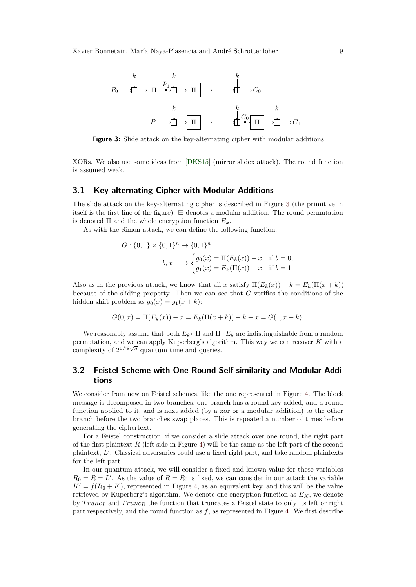<span id="page-8-2"></span>

**Figure 3:** Slide attack on the key-alternating cipher with modular additions

XORs. We also use some ideas from [\[DKS15\]](#page-24-9) (mirror slidex attack). The round function is assumed weak.

#### <span id="page-8-1"></span>**3.1 Key-alternating Cipher with Modular Additions**

The slide attack on the key-alternating cipher is described in Figure [3](#page-8-2) (the primitive in itself is the first line of the figure).  $\boxplus$  denotes a modular addition. The round permutation is denoted  $\Pi$  and the whole encryption function  $E_k$ .

As with the Simon attack, we can define the following function:

$$
G: \{0,1\} \times \{0,1\}^n \to \{0,1\}^n
$$
  

$$
b, x \mapsto \begin{cases} g_0(x) = \Pi(E_k(x)) - x & \text{if } b = 0, \\ g_1(x) = E_k(\Pi(x)) - x & \text{if } b = 1. \end{cases}
$$

Also as in the previous attack, we know that all *x* satisfy  $\Pi(E_k(x)) + k = E_k(\Pi(x + k))$ because of the sliding property. Then we can see that *G* verifies the conditions of the hidden shift problem as  $q_0(x) = q_1(x + k)$ :

$$
G(0, x) = \Pi(E_k(x)) - x = E_k(\Pi(x + k)) - k - x = G(1, x + k).
$$

We reasonably assume that both  $E_k \circ \Pi$  and  $\Pi \circ E_k$  are indistinguishable from a random permutation, and we can apply Kuperberg's algorithm. This way we can recover *K* with a permutation, and we can apply Ruperberg's argor<br>complexity of  $2^{1.78\sqrt{n}}$  quantum time and queries.

### <span id="page-8-0"></span>**3.2 Feistel Scheme with One Round Self-similarity and Modular Additions**

We consider from now on Feistel schemes, like the one represented in Figure [4.](#page-9-1) The block message is decomposed in two branches, one branch has a round key added, and a round function applied to it, and is next added (by a xor or a modular addition) to the other branch before the two branches swap places. This is repeated a number of times before generating the ciphertext.

For a Feistel construction, if we consider a slide attack over one round, the right part of the first plaintext  $R$  (left side in Figure [4\)](#page-9-1) will be the same as the left part of the second plaintext, L'. Classical adversaries could use a fixed right part, and take random plaintexts for the left part.

In our quantum attack, we will consider a fixed and known value for these variables  $R_0 = R = L'$ . As the value of  $R = R_0$  is fixed, we can consider in our attack the variable  $K' = f(R_0 + K)$ , represented in Figure [4,](#page-9-1) as an equivalent key, and this will be the value retrieved by Kuperberg's algorithm. We denote one encryption function as  $E_K$ , we denote by *T runc<sup>L</sup>* and *T runc<sup>R</sup>* the function that truncates a Feistel state to only its left or right part respectively, and the round function as *f*, as represented in Figure [4.](#page-9-1) We first describe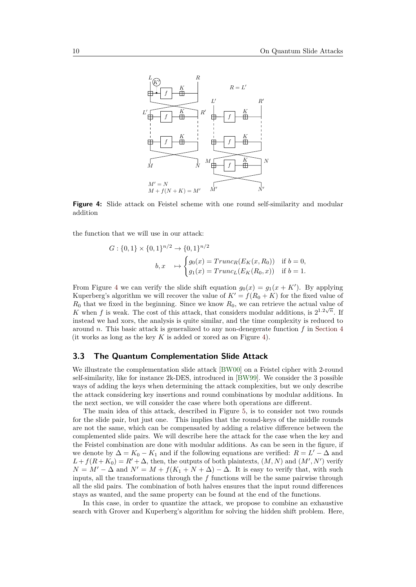<span id="page-9-1"></span>

**Figure 4:** Slide attack on Feistel scheme with one round self-similarity and modular addition

the function that we will use in our attack:

$$
G: \{0,1\} \times \{0,1\}^{n/2} \to \{0,1\}^{n/2}
$$
  

$$
b, x \mapsto \begin{cases} g_0(x) = Trunc_R(E_K(x, R_0)) & \text{if } b = 0, \\ g_1(x) = Trunc_L(E_K(R_0, x)) & \text{if } b = 1. \end{cases}
$$

From Figure [4](#page-9-1) we can verify the slide shift equation  $g_0(x) = g_1(x + K')$ . By applying Kuperberg's algorithm we will recover the value of  $K' = f(R_0 + K)$  for the fixed value of  $R_0$  that we fixed in the beginning. Since we know  $R_0$ , we can retrieve the actual value of K when f is weak. The cost of this attack, that considers modular additions, is  $2^{1.2\sqrt{n}}$ . If instead we had xors, the analysis is quite similar, and the time complexity is reduced to around *n*. This basic attack is generalized to any non-denegerate function *f* in [Section 4](#page-13-0) (it works as long as the key *K* is added or xored as on Figure [4\)](#page-9-1).

### <span id="page-9-0"></span>**3.3 The Quantum Complementation Slide Attack**

We illustrate the complementation slide attack [\[BW00\]](#page-23-4) on a Feistel cipher with 2-round self-similarity, like for instance 2k-DES, introduced in [\[BW99\]](#page-23-6). We consider the 3 possible ways of adding the keys when determining the attack complexities, but we only describe the attack considering key insertions and round combinations by modular additions. In the next section, we will consider the case where both operations are different.

The main idea of this attack, described in Figure [5,](#page-10-1) is to consider not two rounds for the slide pair, but just one. This implies that the round-keys of the middle rounds are not the same, which can be compensated by adding a relative difference between the complemented slide pairs. We will describe here the attack for the case when the key and the Feistel combination are done with modular additions. As can be seen in the figure, if we denote by  $\Delta = K_0 - K_1$  and if the following equations are verified:  $R = L' - \Delta$  and  $L + f(R + K_0) = R' + \Delta$ , then, the outputs of both plaintexts,  $(M, N)$  and  $(M', N')$  verify  $N = M' - \Delta$  and  $N' = M + f(K_1 + N + \Delta) - \Delta$ . It is easy to verify that, with such inputs, all the transformations through the *f* functions will be the same pairwise through all the slid pairs. The combination of both halves ensures that the input round differences stays as wanted, and the same property can be found at the end of the functions.

In this case, in order to quantize the attack, we propose to combine an exhaustive search with Grover and Kuperberg's algorithm for solving the hidden shift problem. Here,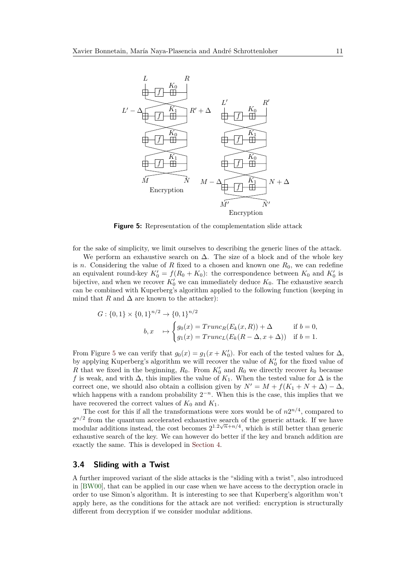<span id="page-10-1"></span>

**Figure 5:** Representation of the complementation slide attack

for the sake of simplicity, we limit ourselves to describing the generic lines of the attack.

We perform an exhaustive search on  $\Delta$ . The size of a block and of the whole key is *n*. Considering the value of *R* fixed to a chosen and known one  $R_0$ , we can redefine an equivalent round-key  $K_0' = f(R_0 + K_0)$ : the correspondence between  $K_0$  and  $K_0'$  is bijective, and when we recover  $K'_0$  we can immediately deduce  $K_0$ . The exhaustive search can be combined with Kuperberg's algorithm applied to the following function (keeping in mind that *R* and  $\Delta$  are known to the attacker):

$$
G: \{0,1\} \times \{0,1\}^{n/2} \to \{0,1\}^{n/2}
$$
  

$$
b, x \mapsto \begin{cases} g_0(x) = Trunc_R(E_k(x,R)) + \Delta & \text{if } b = 0, \\ g_1(x) = Trunc_L(E_k(R - \Delta, x + \Delta)) & \text{if } b = 1. \end{cases}
$$

From Figure [5](#page-10-1) we can verify that  $g_0(x) = g_1(x + K'_0)$ . For each of the tested values for  $\Delta$ , by applying Kuperberg's algorithm we will recover the value of  $K'_{0}$  for the fixed value of *R* that we fixed in the beginning,  $R_0$ . From  $K'_0$  and  $R_0$  we directly recover  $k_0$  because f is weak, and with  $\Delta$ , this implies the value of  $K_1$ . When the tested value for  $\Delta$  is the correct one, we should also obtain a collision given by  $N' = M + f(K_1 + N + \Delta) - \Delta$ , which happens with a random probability  $2^{-n}$ . When this is the case, this implies that we have recovered the correct values of  $K_0$  and  $K_1$ .

The cost for this if all the transformations were xors would be of  $n2^{n/4}$ , compared to  $2^{n/2}$  from the quantum accelerated exhaustive search of the generic attack. If we have modular additions instead, the cost becomes  $2^{1.2\sqrt{n}+n/4}$ , which is still better than generic exhaustive search of the key. We can however do better if the key and branch addition are exactly the same. This is developed in [Section 4.](#page-13-0)

#### <span id="page-10-0"></span>**3.4 Sliding with a Twist**

A further improved variant of the slide attacks is the "sliding with a twist", also introduced in [\[BW00\]](#page-23-4), that can be applied in our case when we have access to the decryption oracle in order to use Simon's algorithm. It is interesting to see that Kuperberg's algorithm won't apply here, as the conditions for the attack are not verified: encryption is structurally different from decryption if we consider modular additions.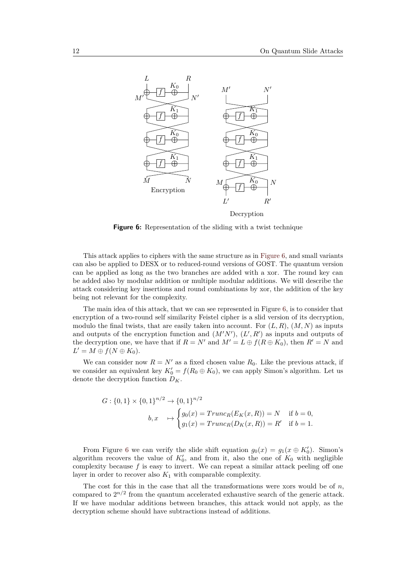<span id="page-11-0"></span>

**Figure 6:** Representation of the sliding with a twist technique

This attack applies to ciphers with the same structure as in [Figure 6,](#page-11-0) and small variants can also be applied to DESX or to reduced-round versions of GOST. The quantum version can be applied as long as the two branches are added with a xor. The round key can be added also by modular addition or multiple modular additions. We will describe the attack considering key insertions and round combinations by xor, the addition of the key being not relevant for the complexity.

The main idea of this attack, that we can see represented in Figure [6,](#page-11-0) is to consider that encryption of a two-round self similarity Feistel cipher is a slid version of its decryption, modulo the final twists, that are easily taken into account. For  $(L, R)$ ,  $(M, N)$  as inputs and outputs of the encryption function and  $(M'N')$ ,  $(L', R')$  as inputs and outputs of the decryption one, we have that if  $R = N'$  and  $M' = L \oplus f(R \oplus K_0)$ , then  $R' = N$  and  $L' = M \oplus f(N \oplus K_0).$ 

We can consider now  $R = N'$  as a fixed chosen value  $R_0$ . Like the previous attack, if we consider an equivalent key  $K_0' = f(R_0 \oplus K_0)$ , we can apply Simon's algorithm. Let us denote the decryption function *DK*.

$$
G: \{0,1\} \times \{0,1\}^{n/2} \to \{0,1\}^{n/2}
$$
  

$$
b, x \mapsto \begin{cases} g_0(x) = Trunc_R(E_K(x,R)) = N & \text{if } b = 0, \\ g_1(x) = Trunc_R(D_K(x,R)) = R' & \text{if } b = 1. \end{cases}
$$

From Figure [6](#page-11-0) we can verify the slide shift equation  $g_0(x) = g_1(x \oplus K'_0)$ . Simon's algorithm recovers the value of  $K'_0$ , and from it, also the one of  $K_0$  with negligible complexity because  $f$  is easy to invert. We can repeat a similar attack peeling off one layer in order to recover also *K*<sup>1</sup> with comparable complexity.

The cost for this in the case that all the transformations were xors would be of *n*, compared to  $2^{n/2}$  from the quantum accelerated exhaustive search of the generic attack. If we have modular additions between branches, this attack would not apply, as the decryption scheme should have subtractions instead of additions.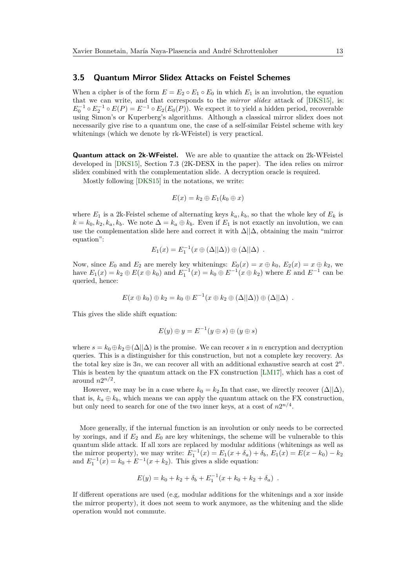#### <span id="page-12-0"></span>**3.5 Quantum Mirror Slidex Attacks on Feistel Schemes**

When a cipher is of the form  $E = E_2 \circ E_1 \circ E_0$  in which  $E_1$  is an involution, the equation that we can write, and that corresponds to the *mirror slidex* attack of [\[DKS15\]](#page-24-9), is:  $E_0^{-1} \circ E_2^{-1} \circ E(P) = E^{-1} \circ E_2(E_0(P)).$  We expect it to yield a hidden period, recoverable using Simon's or Kuperberg's algorithms. Although a classical mirror slidex does not necessarily give rise to a quantum one, the case of a self-similar Feistel scheme with key whitenings (which we denote by rk-WFeistel) is very practical.

**Quantum attack on 2k-WFeistel.** We are able to quantize the attack on 2k-WFeistel developed in [\[DKS15\]](#page-24-9), Section 7.3 (2K-DESX in the paper). The idea relies on mirror slidex combined with the complementation slide. A decryption oracle is required.

Mostly following [\[DKS15\]](#page-24-9) in the notations, we write:

$$
E(x) = k_2 \oplus E_1(k_0 \oplus x)
$$

where  $E_1$  is a 2k-Feistel scheme of alternating keys  $k_a, k_b$ , so that the whole key of  $E_k$  is  $k = k_0, k_2, k_a, k_b$ . We note  $\Delta = k_a \oplus k_b$ . Even if  $E_1$  is not exactly an involution, we can use the complementation slide here and correct it with  $\Delta || \Delta$ , obtaining the main "mirror" equation":

$$
E_1(x) = E_1^{-1}(x \oplus (\Delta||\Delta)) \oplus (\Delta||\Delta) .
$$

Now, since  $E_0$  and  $E_2$  are merely key whitenings:  $E_0(x) = x \oplus k_0$ ,  $E_2(x) = x \oplus k_2$ , we have  $E_1(x) = k_2 \oplus E(x \oplus k_0)$  and  $E_1^{-1}(x) = k_0 \oplus E^{-1}(x \oplus k_2)$  where *E* and  $E^{-1}$  can be queried, hence:

$$
E(x \oplus k_0) \oplus k_2 = k_0 \oplus E^{-1}(x \oplus k_2 \oplus (\Delta || \Delta)) \oplus (\Delta || \Delta) .
$$

This gives the slide shift equation:

$$
E(y) \oplus y = E^{-1}(y \oplus s) \oplus (y \oplus s)
$$

where  $s = k_0 \oplus k_2 \oplus (\Delta || \Delta)$  is the promise. We can recover *s* in *n* encryption and decryption queries. This is a distinguisher for this construction, but not a complete key recovery. As the total key size is  $3n$ , we can recover all with an additional exhaustive search at cost  $2^n$ . This is beaten by the quantum attack on the FX construction [\[LM17\]](#page-25-0), which has a cost of around  $n2^{n/2}$ .

However, we may be in a case where  $k_0 = k_2$ . In that case, we directly recover  $(\Delta||\Delta)$ , that is,  $k_a \oplus k_b$ , which means we can apply the quantum attack on the FX construction, but only need to search for one of the two inner keys, at a cost of  $n2^{n/4}$ .

More generally, if the internal function is an involution or only needs to be corrected by xorings, and if  $E_2$  and  $E_0$  are key whitenings, the scheme will be vulnerable to this quantum slide attack. If all xors are replaced by modular additions (whitenings as well as the mirror property), we may write:  $E_1^{-1}(x) = E_1(x + \delta_a) + \delta_b$ ,  $E_1(x) = E(x - k_0) - k_2$ and  $E_1^{-1}(x) = k_0 + E^{-1}(x + k_2)$ . This gives a slide equation:

$$
E(y) = k_0 + k_2 + \delta_b + E_1^{-1}(x + k_0 + k_2 + \delta_a) .
$$

If different operations are used (e.g, modular additions for the whitenings and a xor inside the mirror property), it does not seem to work anymore, as the whitening and the slide operation would not commute.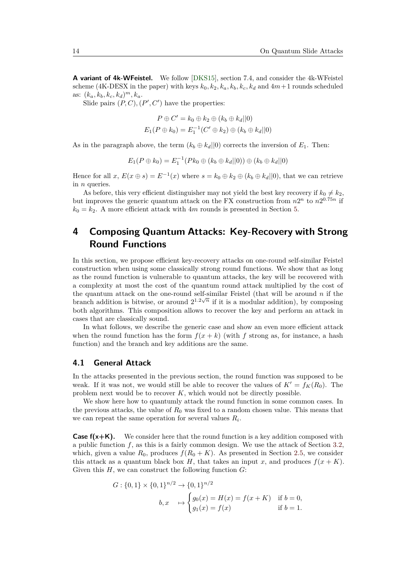**A variant of 4k-WFeistel.** We follow [\[DKS15\]](#page-24-9), section 7.4, and consider the 4k-WFeistel scheme (4K-DESX in the paper) with keys  $k_0, k_2, k_a, k_b, k_c, k_d$  and  $4m+1$  rounds scheduled as:  $(k_a, k_b, k_c, k_d)^m, k_a$ .

Slide pairs  $(P, C), (P', C')$  have the properties:

$$
P \oplus C' = k_0 \oplus k_2 \oplus (k_b \oplus k_d || 0)
$$
  

$$
E_1(P \oplus k_0) = E_1^{-1}(C' \oplus k_2) \oplus (k_b \oplus k_d || 0)
$$

As in the paragraph above, the term  $(k_b \oplus k_d || 0)$  corrects the inversion of  $E_1$ . Then:

$$
E_1(P \oplus k_0) = E_1^{-1}(Pk_0 \oplus (k_b \oplus k_d || 0)) \oplus (k_b \oplus k_d || 0)
$$

Hence for all  $x, E(x \oplus s) = E^{-1}(x)$  where  $s = k_0 \oplus k_2 \oplus (k_b \oplus k_d || 0)$ , that we can retrieve in *n* queries.

As before, this very efficient distinguisher may not yield the best key recovery if  $k_0 \neq k_2$ , but improves the generic quantum attack on the FX construction from  $n2^n$  to  $n2^{0.75n}$  if  $k_0 = k_2$ . A more efficient attack with  $4m$  rounds is presented in Section [5.](#page-15-0)

## <span id="page-13-0"></span>**4 Composing Quantum Attacks: Key-Recovery with Strong Round Functions**

In this section, we propose efficient key-recovery attacks on one-round self-similar Feistel construction when using some classically strong round functions. We show that as long as the round function is vulnerable to quantum attacks, the key will be recovered with a complexity at most the cost of the quantum round attack multiplied by the cost of the quantum attack on the one-round self-similar Feistel (that will be around *n* if the branch addition is bitwise, or around  $2^{1.2\sqrt{n}}$  if it is a modular addition), by composing both algorithms. This composition allows to recover the key and perform an attack in cases that are classically sound.

In what follows, we describe the generic case and show an even more efficient attack when the round function has the form  $f(x + k)$  (with f strong as, for instance, a hash function) and the branch and key additions are the same.

### **4.1 General Attack**

In the attacks presented in the previous section, the round function was supposed to be weak. If it was not, we would still be able to recover the values of  $K' = f_K(R_0)$ . The problem next would be to recover *K*, which would not be directly possible.

We show here how to quantumly attack the round function in some common cases. In the previous attacks, the value of *R*<sup>0</sup> was fixed to a random chosen value. This means that we can repeat the same operation for several values *R<sup>i</sup>* .

**Case**  $f(x+K)$ **.** We consider here that the round function is a key addition composed with a public function  $f$ , as this is a fairly common design. We use the attack of Section [3.2,](#page-8-0) which, given a value  $R_0$ , produces  $f(R_0 + K)$ . As presented in Section [2.5,](#page-5-0) we consider this attack as a quantum black box *H*, that takes an input *x*, and produces  $f(x + K)$ . Given this *H*, we can construct the following function *G*:

$$
G: \{0,1\} \times \{0,1\}^{n/2} \to \{0,1\}^{n/2}
$$
  

$$
b, x \mapsto \begin{cases} g_0(x) = H(x) = f(x+K) & \text{if } b = 0, \\ g_1(x) = f(x) & \text{if } b = 1. \end{cases}
$$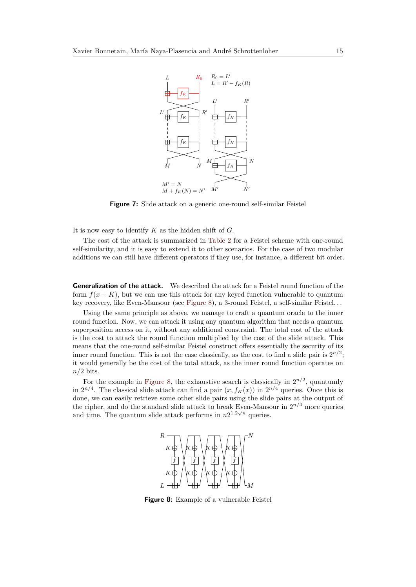

**Figure 7:** Slide attack on a generic one-round self-similar Feistel

It is now easy to identify *K* as the hidden shift of *G*.

The cost of the attack is summarized in [Table 2](#page-15-1) for a Feistel scheme with one-round self-similarity, and it is easy to extend it to other scenarios. For the case of two modular additions we can still have different operators if they use, for instance, a different bit order.

**Generalization of the attack.** We described the attack for a Feistel round function of the form  $f(x+K)$ , but we can use this attack for any keyed function vulnerable to quantum key recovery, like Even-Mansour (see [Figure 8\)](#page-14-0), a 3-round Feistel, a self-similar Feistel. . .

Using the same principle as above, we manage to craft a quantum oracle to the inner round function. Now, we can attack it using any quantum algorithm that needs a quantum superposition access on it, without any additional constraint. The total cost of the attack is the cost to attack the round function multiplied by the cost of the slide attack. This means that the one-round self-similar Feistel construct offers essentially the security of its inner round function. This is not the case classically, as the cost to find a slide pair is  $2^{n/2}$ ; it would generally be the cost of the total attack, as the inner round function operates on *n/*2 bits.

<span id="page-14-0"></span>For the example in [Figure 8,](#page-14-0) the exhaustive search is classically in  $2^{n/2}$ , quantumly in  $2^{n/4}$ . The classical slide attack can find a pair  $(x, f_K(x))$  in  $2^{n/4}$  queries. Once this is done, we can easily retrieve some other slide pairs using the slide pairs at the output of the cipher, and do the standard slide attack to break Even-Mansour in  $2^{n/4}$  more queries and time. The quantum slide attack performs in  $n2^{1.2\sqrt{n}}$  queries.



**Figure 8:** Example of a vulnerable Feistel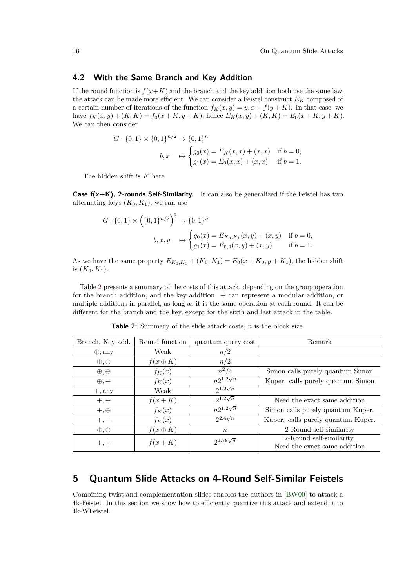#### **4.2 With the Same Branch and Key Addition**

If the round function is  $f(x+K)$  and the branch and the key addition both use the same law, the attack can be made more efficient. We can consider a Feistel construct *E<sup>K</sup>* composed of a certain number of iterations of the function  $f_K(x, y) = y, x + f(y + K)$ . In that case, we have  $f_K(x, y) + (K, K) = f_0(x + K, y + K)$ , hence  $E_K(x, y) + (K, K) = E_0(x + K, y + K)$ . We can then consider

$$
G: \{0, 1\} \times \{0, 1\}^{n/2} \to \{0, 1\}^n
$$
  

$$
b, x \mapsto \begin{cases} g_0(x) = E_K(x, x) + (x, x) & \text{if } b = 0, \\ g_1(x) = E_0(x, x) + (x, x) & \text{if } b = 1. \end{cases}
$$

The hidden shift is *K* here.

**Case f(x+K), 2-rounds Self-Similarity.** It can also be generalized if the Feistel has two alternating keys  $(K_0, K_1)$ , we can use

$$
G: \{0,1\} \times \left(\{0,1\}^{n/2}\right)^2 \to \{0,1\}^n
$$
  

$$
b, x, y \mapsto \begin{cases} g_0(x) = E_{K_0, K_1}(x, y) + (x, y) & \text{if } b = 0, \\ g_1(x) = E_{0,0}(x, y) + (x, y) & \text{if } b = 1. \end{cases}
$$

As we have the same property  $E_{K_0,K_1} + (K_0, K_1) = E_0(x + K_0, y + K_1)$ , the hidden shift is  $(K_0, K_1)$ .

Table [2](#page-15-1) presents a summary of the costs of this attack, depending on the group operation for the branch addition, and the key addition.  $+$  can represent a modular addition, or multiple additions in parallel, as long as it is the same operation at each round. It can be different for the branch and the key, except for the sixth and last attack in the table.

<span id="page-15-1"></span>

| Branch, Key add. | Round function  | quantum query cost | Remark                             |
|------------------|-----------------|--------------------|------------------------------------|
| $\oplus$ , any   | Weak            | n/2                |                                    |
| $\oplus, \oplus$ | $f(x \oplus K)$ | n/2                |                                    |
| $\oplus, \oplus$ | $f_K(x)$        | $n^2/4$            | Simon calls purely quantum Simon   |
| $\oplus$ , $+$   | $f_K(x)$        | $n2^{1.2\sqrt{n}}$ | Kuper. calls purely quantum Simon  |
| $+,$ any         | Weak            | $2^{1.2\sqrt{n}}$  |                                    |
| $+, +$           | $f(x+K)$        | $2^{1.2\sqrt{n}}$  | Need the exact same addition       |
| $+, \oplus$      | $f_K(x)$        | $n2^{1.2\sqrt{n}}$ | Simon calls purely quantum Kuper.  |
| $+, +$           | $f_K(x)$        | $2^{2.4\sqrt{n}}$  | Kuper. calls purely quantum Kuper. |
| $\oplus, \oplus$ | $f(x \oplus K)$ | $\boldsymbol{n}$   | 2-Round self-similarity            |
| $+, +$           | $f(x+K)$        | $2^{1.78\sqrt{n}}$ | 2-Round self-similarity,           |
|                  |                 |                    | Need the exact same addition       |

**Table 2:** Summary of the slide attack costs, *n* is the block size.

## <span id="page-15-0"></span>**5 Quantum Slide Attacks on 4-Round Self-Similar Feistels**

Combining twist and complementation slides enables the authors in [\[BW00\]](#page-23-4) to attack a 4k-Feistel. In this section we show how to efficiently quantize this attack and extend it to 4k-WFeistel.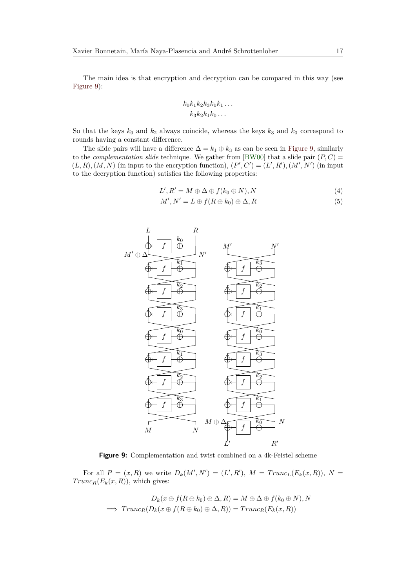The main idea is that encryption and decryption can be compared in this way (see [Figure 9\)](#page-16-0):

$$
k_0k_1k_2k_3k_0k_1\ldots
$$

$$
k_3k_2k_1k_0\ldots
$$

So that the keys  $k_0$  and  $k_2$  always coincide, whereas the keys  $k_3$  and  $k_0$  correspond to rounds having a constant difference.

The slide pairs will have a difference  $\Delta = k_1 \oplus k_3$  as can be seen in [Figure 9,](#page-16-0) similarly to the *complementation slide* technique. We gather from [\[BW00\]](#page-23-4) that a slide pair  $(P, C)$  =  $(L, R), (M, N)$  (in input to the encryption function),  $(P', C') = (L', R'), (M', N')$  (in input to the decryption function) satisfies the following properties:

$$
L', R' = M \oplus \Delta \oplus f(k_0 \oplus N), N \tag{4}
$$

$$
M', N' = L \oplus f(R \oplus k_0) \oplus \Delta, R \tag{5}
$$

<span id="page-16-0"></span>

**Figure 9:** Complementation and twist combined on a 4k-Feistel scheme

For all  $P = (x, R)$  we write  $D_k(M', N') = (L', R')$ ,  $M = Trunc_L(E_k(x, R))$ ,  $N =$  $Trunc_R(E_k(x,R))$ , which gives:

$$
D_k(x \oplus f(R \oplus k_0) \oplus \Delta, R) = M \oplus \Delta \oplus f(k_0 \oplus N), N
$$
  

$$
\implies Trunc_R(D_k(x \oplus f(R \oplus k_0) \oplus \Delta, R)) = Trunc_R(E_k(x, R))
$$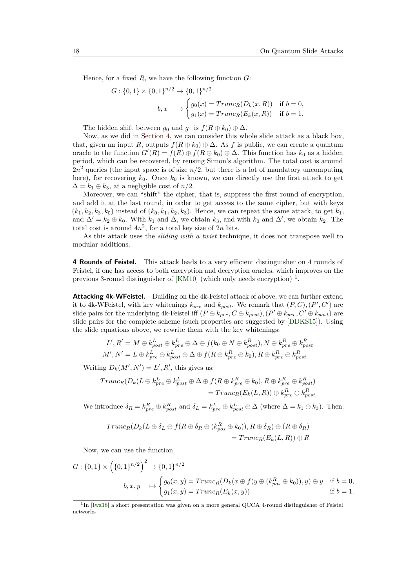Hence, for a fixed *R*, we have the following function *G*:

$$
G: \{0,1\} \times \{0,1\}^{n/2} \to \{0,1\}^{n/2}
$$
  

$$
b, x \mapsto \begin{cases} g_0(x) = Trunc_R(D_k(x,R)) & \text{if } b = 0, \\ g_1(x) = Trunc_R(E_k(x,R)) & \text{if } b = 1. \end{cases}
$$

The hidden shift between  $g_0$  and  $g_1$  is  $f(R \oplus k_0) \oplus \Delta$ .

Now, as we did in [Section 4,](#page-13-0) we can consider this whole slide attack as a black box, that, given an input *R*, outputs  $f(R \oplus k_0) \oplus \Delta$ . As *f* is public, we can create a quantum oracle to the function  $G'(R) = f(R) \oplus f(R \oplus k_0) \oplus \Delta$ . This function has  $k_0$  as a hidden period, which can be recovered, by reusing Simon's algorithm. The total cost is around  $2n^2$  queries (the input space is of size  $n/2$ , but there is a lot of mandatory uncomputing here), for recovering  $k_0$ . Once  $k_0$  is known, we can directly use the first attack to get  $\Delta = k_1 \oplus k_3$ , at a negligible cost of  $n/2$ .

Moreover, we can "shift" the cipher, that is, suppress the first round of encryption, and add it at the last round, in order to get access to the same cipher, but with keys  $(k_1, k_2, k_3, k_0)$  instead of  $(k_0, k_1, k_2, k_3)$ . Hence, we can repeat the same attack, to get  $k_1$ , and  $\Delta' = k_2 \oplus k_0$ . With  $k_1$  and  $\Delta$ , we obtain  $k_3$ , and with  $k_0$  and  $\Delta'$ , we obtain  $k_2$ . The total cost is around  $4n^2$ , for a total key size of  $2n$  bits.

As this attack uses the *sliding with a twist* technique, it does not transpose well to modular additions.

**4 Rounds of Feistel.** This attack leads to a very efficient distinguisher on 4 rounds of Feistel, if one has access to both encryption and decryption oracles, which improves on the previous 3-round distinguisher of  $[KM10]$  (which only needs encryption)<sup>[1](#page-17-0)</sup>.

**Attacking 4k-WFeistel.** Building on the 4k-Feistel attack of above, we can further extend it to 4k-WFeistel, with key whitenings  $k_{pre}$  and  $k_{post}$ . We remark that  $(P, C), (P', C')$  are slide pairs for the underlying 4k-Feistel iff  $(P \oplus k_{pre}, C \oplus k_{post})$ ,  $(P' \oplus k_{pre}, C' \oplus k_{post})$  are slide pairs for the complete scheme (such properties are suggested by [\[DDKS15\]](#page-24-8)). Using the slide equations above, we rewrite them with the key whitenings:

$$
L', R' = M \oplus k_{post}^L \oplus k_{pre}^L \oplus \Delta \oplus f(k_0 \oplus N \oplus k_{post}^R), N \oplus k_{pre}^R \oplus k_{post}^R
$$
  

$$
M', N' = L \oplus k_{pre}^L \oplus k_{post}^L \oplus \Delta \oplus f(R \oplus k_{pre}^R \oplus k_0), R \oplus k_{pre}^R \oplus k_{post}^R
$$

Writing  $D_k(M', N') = L', R'$ , this gives us:

$$
Trunc_R(D_k(L \oplus k_{pre}^L \oplus k_{post}^L \oplus \Delta \oplus f(R \oplus k_{pre}^R \oplus k_0), R \oplus k_{pre}^R \oplus k_{post}^R)
$$
  
= 
$$
Trunc_R(E_k(L, R)) \oplus k_{pre}^R \oplus k_{post}^R
$$

We introduce  $\delta_R = k_{pre}^R \oplus k_{post}^R$  and  $\delta_L = k_{pre}^L \oplus k_{post}^L \oplus \Delta$  (where  $\Delta = k_1 \oplus k_3$ ). Then:

$$
Trunc_R(D_k(L \oplus \delta_L \oplus f(R \oplus \delta_R \oplus (k_{pos}^R \oplus k_0)), R \oplus \delta_R) \oplus (R \oplus \delta_R)
$$
  
= 
$$
Trunc_R(E_k(L, R)) \oplus R
$$

Now, we can use the function

$$
G: \{0,1\} \times \left(\{0,1\}^{n/2}\right)^2 \to \{0,1\}^{n/2}
$$
  

$$
b, x, y \mapsto \begin{cases} g_0(x,y) = Trunc_R(D_k(x \oplus f(y \oplus (k_{pos}^R \oplus k_0)), y) \oplus y & \text{if } b = 0, \\ g_1(x,y) = Trunc_R(E_k(x,y)) & \text{if } b = 1. \end{cases}
$$

<span id="page-17-0"></span><sup>&</sup>lt;sup>1</sup>In [\[Iwa18\]](#page-24-13) a short presentation was given on a more general QCCA 4-round distinguisher of Feistel networks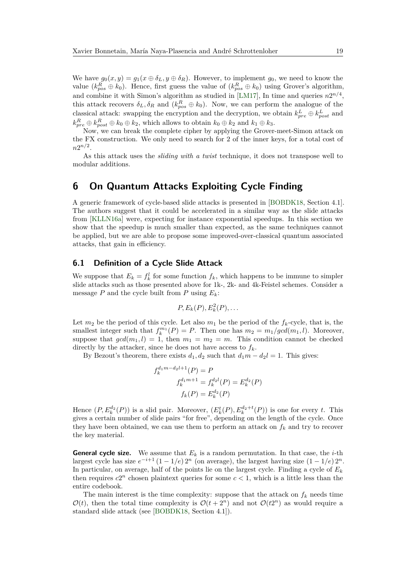We have  $g_0(x, y) = g_1(x \oplus \delta_L, y \oplus \delta_R)$ . However, to implement  $g_0$ , we need to know the value  $(k_{pos}^R \oplus k_0)$ . Hence, first guess the value of  $(k_{pos}^R \oplus k_0)$  using Grover's algorithm, and combine it with Simon's algorithm as studied in [\[LM17\]](#page-25-0), In time and queries  $n2^{n/4}$ , this attack recovers  $\delta_L, \delta_R$  and  $(k_{pos}^R \oplus k_0)$ . Now, we can perform the analogue of the classical attack: swapping the encryption and the decryption, we obtain  $k_{pre}^L \oplus k_{post}^L$  and  $k_{pre}^R \oplus k_{post}^R \oplus k_0 \oplus k_2$ , which allows to obtain  $k_0 \oplus k_2$  and  $k_1 \oplus k_3$ .

Now, we can break the complete cipher by applying the Grover-meet-Simon attack on the FX construction. We only need to search for 2 of the inner keys, for a total cost of  $n2^{n/2}$ .

As this attack uses the *sliding with a twist* technique, it does not transpose well to modular additions.

### **6 On Quantum Attacks Exploiting Cycle Finding**

A generic framework of cycle-based slide attacks is presented in [\[BOBDK18,](#page-23-5) Section 4.1]. The authors suggest that it could be accelerated in a similar way as the slide attacks from [\[KLLN16a\]](#page-24-4) were, expecting for instance exponential speedups. In this section we show that the speedup is much smaller than expected, as the same techniques cannot be applied, but we are able to propose some improved-over-classical quantum associated attacks, that gain in efficiency.

### **6.1 Definition of a Cycle Slide Attack**

*f*

We suppose that  $E_k = f_k^l$  for some function  $f_k$ , which happens to be immune to simpler slide attacks such as those presented above for 1k-, 2k- and 4k-Feistel schemes. Consider a message *P* and the cycle built from *P* using  $E_k$ :

$$
P, E_k(P), E_k^2(P), \ldots
$$

Let  $m_2$  be the period of this cycle. Let also  $m_1$  be the period of the  $f_k$ -cycle, that is, the smallest integer such that  $f_k^{m_1}(P) = P$ . Then one has  $m_2 = m_1/gcd(m_1, l)$ . Moreover, suppose that  $gcd(m_1, l) = 1$ , then  $m_1 = m_2 = m$ . This condition cannot be checked directly by the attacker, since he does not have access to  $f_k$ .

By Bezout's theorem, there exists  $d_1, d_2$  such that  $d_1m - d_2l = 1$ . This gives:

$$
f_k^{d_1m-d_2l+1}(P) = P
$$
  

$$
f_k^{d_1m+1} = f_k^{d_2l}(P) = E_k^{d_2}(P)
$$
  

$$
f_k(P) = E_k^{d_2}(P)
$$

Hence  $(P, E_k^{d_2}(P))$  is a slid pair. Moreover,  $(E_k^t(P), E_k^{d_2+t}(P))$  is one for every *t*. This gives a certain number of slide pairs "for free", depending on the length of the cycle. Once they have been obtained, we can use them to perform an attack on *f<sup>k</sup>* and try to recover the key material.

**General cycle size.** We assume that  $E_k$  is a random permutation. In that case, the *i*-th largest cycle has size  $e^{-i+1} (1 - 1/e) 2^n$  (on average), the largest having size  $(1 - 1/e) 2^n$ . In particular, on average, half of the points lie on the largest cycle. Finding a cycle of *E<sup>k</sup>* then requires  $c2^n$  chosen plaintext queries for some  $c < 1$ , which is a little less than the entire codebook.

The main interest is the time complexity: suppose that the attack on  $f_k$  needs time  $\mathcal{O}(t)$ , then the total time complexity is  $\mathcal{O}(t+2^n)$  and not  $\mathcal{O}(t2^n)$  as would require a standard slide attack (see [\[BOBDK18,](#page-23-5) Section 4.1]).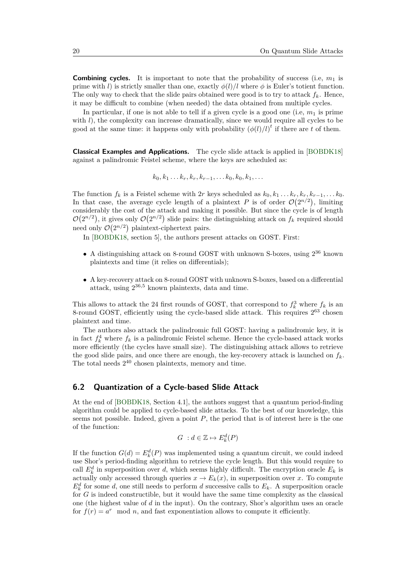**Combining cycles.** It is important to note that the probability of success (i.e,  $m_1$  is prime with *l*) is strictly smaller than one, exactly  $\phi(l)/l$  where  $\phi$  is Euler's totient function. The only way to check that the slide pairs obtained were good is to try to attack  $f_k$ . Hence, it may be difficult to combine (when needed) the data obtained from multiple cycles.

In particular, if one is not able to tell if a given cycle is a good one (i.e,  $m_1$  is prime with *l*), the complexity can increase dramatically, since we would require all cycles to be good at the same time: it happens only with probability  $(\phi(l)/l)^t$  if there are *t* of them.

**Classical Examples and Applications.** The cycle slide attack is applied in [\[BOBDK18\]](#page-23-5) against a palindromic Feistel scheme, where the keys are scheduled as:

$$
k_0, k_1 \ldots k_r, k_r, k_{r-1}, \ldots k_0, k_0, k_1, \ldots
$$

The function  $f_k$  is a Feistel scheme with 2*r* keys scheduled as  $k_0, k_1 \ldots k_r, k_r, k_{r-1}, \ldots k_0$ . In that case, the average cycle length of a plaintext *P* is of order  $\mathcal{O}(2^{n/2})$ , limiting considerably the cost of the attack and making it possible. But since the cycle is of length  $\mathcal{O}(2^{n/2})$ , it gives only  $\mathcal{O}(2^{n/2})$  slide pairs: the distinguishing attack on  $f_k$  required should need only  $\mathcal{O}(2^{n/2})$  plaintext-ciphertext pairs.

In [\[BOBDK18,](#page-23-5) section 5], the authors present attacks on GOST. First:

- A distinguishing attack on 8-round GOST with unknown S-boxes, using  $2^{36}$  known plaintexts and time (it relies on differentials);
- A key-recovery attack on 8-round GOST with unknown S-boxes, based on a differential attack, using 2 <sup>36</sup>*,*<sup>5</sup> known plaintexts, data and time.

This allows to attack the 24 first rounds of GOST, that correspond to  $f_k^3$  where  $f_k$  is an 8-round GOST, efficiently using the cycle-based slide attack. This requires  $2^{63}$  chosen plaintext and time.

The authors also attack the palindromic full GOST: having a palindromic key, it is in fact  $f_k^4$  where  $f_k$  is a palindromic Feistel scheme. Hence the cycle-based attack works more efficiently (the cycles have small size). The distinguishing attack allows to retrieve the good slide pairs, and once there are enough, the key-recovery attack is launched on  $f_k$ . The total needs  $2^{40}$  chosen plaintexts, memory and time.

#### **6.2 Quantization of a Cycle-based Slide Attack**

At the end of [\[BOBDK18,](#page-23-5) Section 4.1], the authors suggest that a quantum period-finding algorithm could be applied to cycle-based slide attacks. To the best of our knowledge, this seems not possible. Indeed, given a point *P*, the period that is of interest here is the one of the function:

$$
G \ : d \in \mathbb{Z} \mapsto E_k^d(P)
$$

If the function  $G(d) = E_k^d(P)$  was implemented using a quantum circuit, we could indeed use Shor's period-finding algorithm to retrieve the cycle length. But this would require to call  $E^d_k$  in superposition over *d*, which seems highly difficult. The encryption oracle  $E_k$  is actually only accessed through queries  $x \to E_k(x)$ , in superposition over *x*. To compute  $E_k^d$  for some *d*, one still needs to perform *d* successive calls to  $E_k$ . A superposition oracle for *G* is indeed constructible, but it would have the same time complexity as the classical one (the highest value of *d* in the input). On the contrary, Shor's algorithm uses an oracle for  $f(r) = a^r \mod n$ , and fast exponentiation allows to compute it efficiently.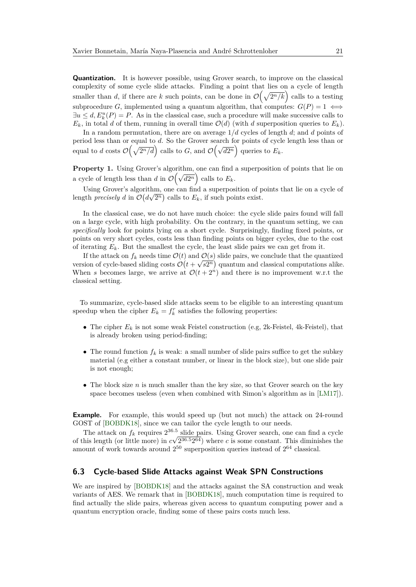**Quantization.** It is however possible, using Grover search, to improve on the classical complexity of some cycle slide attacks. Finding a point that lies on a cycle of length smaller than *d*, if there are *k* such points, can be done in  $\mathcal{O}(\sqrt{2^n/k})$  calls to a testing subprocedure *G*, implemented using a quantum algorithm, that computes:  $G(P) = 1 \iff$  $\exists u \leq d, E_k^u(P) = P$ . As in the classical case, such a procedure will make successive calls to  $E_k$ , in total *d* of them, running in overall time  $\mathcal{O}(d)$  (with *d* superposition queries to  $E_k$ ).

In a random permutation, there are on average 1*/d* cycles of length *d*; and *d* points of period less than or equal to *d*. So the Grover search for points of cycle length less than or before the distribution of the contract of the contract of  $\mathcal{O}(\sqrt{d^2n})$  queries to  $E_k$ .

Property 1. Using Grover's algorithm, one can find a superposition of points that lie on a cycle of length less than *d* in  $\mathcal{O}(\sqrt{d2^n})$  calls to  $E_k$ .

Using Grover's algorithm, one can find a superposition of points that lie on a cycle of length *precisely d* in  $\mathcal{O}(d\sqrt{2^n})$  calls to  $E_k$ , if such points exist.

In the classical case, we do not have much choice: the cycle slide pairs found will fall on a large cycle, with high probability. On the contrary, in the quantum setting, we can *specifically* look for points lying on a short cycle. Surprisingly, finding fixed points, or points on very short cycles, costs less than finding points on bigger cycles, due to the cost of iterating  $E_k$ . But the smallest the cycle, the least slide pairs we can get from it.

If the attack on  $f_k$  needs time  $\mathcal{O}(t)$  and  $\mathcal{O}(s)$  slide pairs, we conclude that the quantized version of cycle-based sliding costs  $\mathcal{O}(t+\sqrt{s2^n})$  quantum and classical computations alike. When *s* becomes large, we arrive at  $\mathcal{O}(t+2^n)$  and there is no improvement w.r.t the classical setting.

To summarize, cycle-based slide attacks seem to be eligible to an interesting quantum speedup when the cipher  $E_k = f_k^r$  satisfies the following properties:

- The cipher  $E_k$  is not some weak Feistel construction (e.g, 2k-Feistel, 4k-Feistel), that is already broken using period-finding;
- The round function  $f_k$  is weak: a small number of slide pairs suffice to get the subkey material (e.g either a constant number, or linear in the block size), but one slide pair is not enough;
- The block size *n* is much smaller than the key size, so that Grover search on the key space becomes useless (even when combined with Simon's algorithm as in [\[LM17\]](#page-25-0)).

**Example.** For example, this would speed up (but not much) the attack on 24-round GOST of [\[BOBDK18\]](#page-23-5), since we can tailor the cycle length to our needs.

The attack on  $f_k$  requires  $2^{36.5}$  slide pairs. Using Grover search, one can find a cycle of this length (or little more) in *c* √ 2 <sup>36</sup>*.*<sup>5</sup>2 <sup>64</sup>) where *c* is some constant. This diminishes the amount of work towards around  $2^{50}$  superposition queries instead of  $2^{64}$  classical.

### **6.3 Cycle-based Slide Attacks against Weak SPN Constructions**

We are inspired by [\[BOBDK18\]](#page-23-5) and the attacks against the SA construction and weak variants of AES. We remark that in [\[BOBDK18\]](#page-23-5), much computation time is required to find actually the slide pairs, whereas given access to quantum computing power and a quantum encryption oracle, finding some of these pairs costs much less.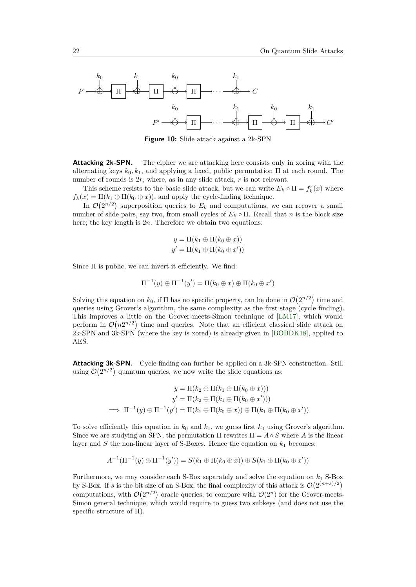

**Figure 10:** Slide attack against a 2k-SPN

<span id="page-21-1"></span>**Attacking 2k-SPN.** The cipher we are attacking here consists only in xoring with the alternating keys  $k_0, k_1$ , and applying a fixed, public permutation  $\Pi$  at each round. The number of rounds is 2*r*, where, as in any slide attack, *r* is not relevant.

This scheme resists to the basic slide attack, but we can write  $E_k \circ \Pi = f_k^r(x)$  where  $f_k(x) = \Pi(k_1 \oplus \Pi(k_0 \oplus x))$ , and apply the cycle-finding technique.

In  $\mathcal{O}(2^{n/2})$  superposition queries to  $E_k$  and computations, we can recover a small number of slide pairs, say two, from small cycles of  $E_k \circ \Pi$ . Recall that *n* is the block size here; the key length is 2*n*. Therefore we obtain two equations:

$$
y = \Pi(k_1 \oplus \Pi(k_0 \oplus x))
$$
  

$$
y' = \Pi(k_1 \oplus \Pi(k_0 \oplus x'))
$$

Since  $\Pi$  is public, we can invert it efficiently. We find:

$$
\Pi^{-1}(y) \oplus \Pi^{-1}(y') = \Pi(k_0 \oplus x) \oplus \Pi(k_0 \oplus x')
$$

Solving this equation on  $k_0$ , if  $\Pi$  has no specific property, can be done in  $\mathcal{O}(2^{n/2})$  time and queries using Grover's algorithm, the same complexity as the first stage (cycle finding). This improves a little on the Grover-meets-Simon technique of [\[LM17\]](#page-25-0), which would perform in  $\mathcal{O}(n2^{n/2})$  time and queries. Note that an efficient classical slide attack on 2k-SPN and 3k-SPN (where the key is xored) is already given in [\[BOBDK18\]](#page-23-5), applied to AES.

<span id="page-21-0"></span>**Attacking 3k-SPN.** Cycle-finding can further be applied on a 3k-SPN construction. Still using  $\mathcal{O}(2^{n/2})$  quantum queries, we now write the slide equations as:

$$
y = \Pi(k_2 \oplus \Pi(k_1 \oplus \Pi(k_0 \oplus x)))
$$
  

$$
y' = \Pi(k_2 \oplus \Pi(k_1 \oplus \Pi(k_0 \oplus x')))
$$
  

$$
\implies \Pi^{-1}(y) \oplus \Pi^{-1}(y') = \Pi(k_1 \oplus \Pi(k_0 \oplus x)) \oplus \Pi(k_1 \oplus \Pi(k_0 \oplus x'))
$$

To solve efficiently this equation in  $k_0$  and  $k_1$ , we guess first  $k_0$  using Grover's algorithm. Since we are studying an SPN, the permutation  $\Pi$  rewrites  $\Pi = A \circ S$  where A is the linear layer and  $S$  the non-linear layer of S-Boxes. Hence the equation on  $k_1$  becomes:

$$
A^{-1}(\Pi^{-1}(y) \oplus \Pi^{-1}(y')) = S(k_1 \oplus \Pi(k_0 \oplus x)) \oplus S(k_1 \oplus \Pi(k_0 \oplus x'))
$$

Furthermore, we may consider each S-Box separately and solve the equation on *k*<sup>1</sup> S-Box by S-Box. if *s* is the bit size of an S-Box, the final complexity of this attack is  $\mathcal{O}(2^{(n+s)/2})$ computations, with  $\mathcal{O}(2^{n/2})$  oracle queries, to compare with  $\mathcal{O}(2^n)$  for the Grover-meets-Simon general technique, which would require to guess two subkeys (and does not use the specific structure of Π).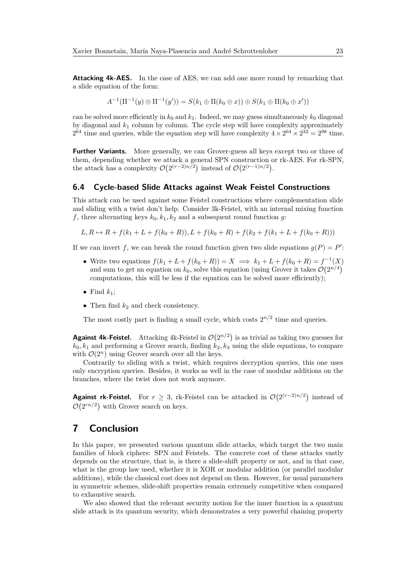**Attacking 4k-AES.** In the case of AES, we can add one more round by remarking that a slide equation of the form:

$$
A^{-1}(\Pi^{-1}(y) \oplus \Pi^{-1}(y')) = S(k_1 \oplus \Pi(k_0 \oplus x)) \oplus S(k_1 \oplus \Pi(k_0 \oplus x'))
$$

can be solved more efficiently in  $k_0$  and  $k_1$ . Indeed, we may guess simultaneously  $k_0$  diagonal by diagonal and  $k_1$  column by column. The cycle step will have complexity approximately  $2^{64}$  time and queries, while the equation step will have complexity  $4 \times 2^{64} \times 2^{32} = 2^{98}$  time.

**Further Variants.** More generally, we can Grover-guess all keys except two or three of them, depending whether we attack a general SPN construction or rk-AES. For rk-SPN, the attack has a complexity  $\mathcal{O}(2^{(r-2)n/2})$  instead of  $\mathcal{O}(2^{(r-1)n/2})$ .

#### **6.4 Cycle-based Slide Attacks against Weak Feistel Constructions**

This attack can be used against some Feistel constructions where complementation slide and sliding with a twist don't help. Consider 3k-Feistel, with an internal mixing function  $f$ , three alternating keys  $k_0, k_1, k_2$  and a subsequent round function  $g$ :

$$
L, R \mapsto R + f(k_1 + L + f(k_0 + R)), L + f(k_0 + R) + f(k_2 + f(k_1 + L + f(k_0 + R)))
$$

If we can invert f, we can break the round function given two slide equations  $g(P) = P'$ :

- Write two equations  $f(k_1 + L + f(k_0 + R)) = X \implies k_1 + L + f(k_0 + R) = f^{-1}(X)$ and sum to get an equation on  $k_0$ , solve this equation (using Grover it takes  $\mathcal{O}(2^{n/4})$ computations, this will be less if the equation can be solved more efficiently);
- Find  $k_1$ ;
- Then find  $k_2$  and check consistency.

The most costly part is finding a small cycle, which costs  $2^{n/2}$  time and queries.

<span id="page-22-0"></span>**Against 4k-Feistel.** Attacking 4k-Feistel in  $\mathcal{O}(2^{n/2})$  is as trivial as taking two guesses for  $k_0, k_1$  and performing a Grover search, finding  $k_2, k_3$  using the slide equations, to compare with  $\mathcal{O}(2^n)$  using Grover search over all the keys.

Contrarily to sliding with a twist, which requires decryption queries, this one uses only encryption queries. Besides, it works as well in the case of modular additions on the branches, where the twist does not work anymore.

**Against rk-Feistel.** For  $r \geq 3$ , rk-Feistel can be attacked in  $\mathcal{O}(2^{(r-2)n/2})$  instead of  $\mathcal{O}(2^{rn/2})$  with Grover search on keys.

### **7 Conclusion**

In this paper, we presented various quantum slide attacks, which target the two main families of block ciphers: SPN and Feistels. The concrete cost of these attacks vastly depends on the structure, that is, is there a slide-shift property or not, and in that case, what is the group law used, whether it is XOR or modular addition (or parallel modular additions), while the classical cost does not depend on them. However, for usual parameters in symmetric schemes, slide-shift properties remain extremely competitive when compared to exhaustive search.

We also showed that the relevant security notion for the inner function in a quantum slide attack is its quantum security, which demonstrates a very powerful chaining property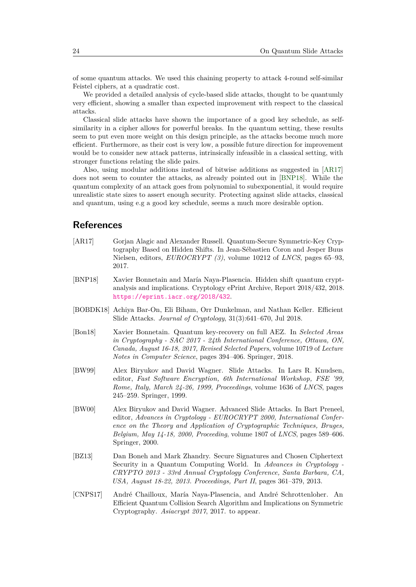of some quantum attacks. We used this chaining property to attack 4-round self-similar Feistel ciphers, at a quadratic cost.

We provided a detailed analysis of cycle-based slide attacks, thought to be quantumly very efficient, showing a smaller than expected improvement with respect to the classical attacks.

Classical slide attacks have shown the importance of a good key schedule, as selfsimilarity in a cipher allows for powerful breaks. In the quantum setting, these results seem to put even more weight on this design principle, as the attacks become much more efficient. Furthermore, as their cost is very low, a possible future direction for improvement would be to consider new attack patterns, intrinsically infeasible in a classical setting, with stronger functions relating the slide pairs.

Also, using modular additions instead of bitwise additions as suggested in [\[AR17\]](#page-23-2) does not seem to counter the attacks, as already pointed out in [\[BNP18\]](#page-23-3). While the quantum complexity of an attack goes from polynomial to subexponential, it would require unrealistic state sizes to assert enough security. Protecting against slide attacks, classical and quantum, using e.g a good key schedule, seems a much more desirable option.

### **References**

- <span id="page-23-2"></span>[AR17] Gorjan Alagic and Alexander Russell. Quantum-Secure Symmetric-Key Cryptography Based on Hidden Shifts. In Jean-Sébastien Coron and Jesper Buus Nielsen, editors, *EUROCRYPT (3)*, volume 10212 of *LNCS*, pages 65–93, 2017.
- <span id="page-23-3"></span>[BNP18] Xavier Bonnetain and María Naya-Plasencia. Hidden shift quantum cryptanalysis and implications. Cryptology ePrint Archive, Report 2018/432, 2018. <https://eprint.iacr.org/2018/432>.
- <span id="page-23-5"></span>[BOBDK18] Achiya Bar-On, Eli Biham, Orr Dunkelman, and Nathan Keller. Efficient Slide Attacks. *Journal of Cryptology*, 31(3):641–670, Jul 2018.
- <span id="page-23-1"></span>[Bon18] Xavier Bonnetain. Quantum key-recovery on full AEZ. In *Selected Areas in Cryptography - SAC 2017 - 24th International Conference, Ottawa, ON, Canada, August 16-18, 2017, Revised Selected Papers*, volume 10719 of *Lecture Notes in Computer Science*, pages 394–406. Springer, 2018.
- <span id="page-23-6"></span>[BW99] Alex Biryukov and David Wagner. Slide Attacks. In Lars R. Knudsen, editor, *Fast Software Encryption, 6th International Workshop, FSE '99, Rome, Italy, March 24-26, 1999, Proceedings*, volume 1636 of *LNCS*, pages 245–259. Springer, 1999.
- <span id="page-23-4"></span>[BW00] Alex Biryukov and David Wagner. Advanced Slide Attacks. In Bart Preneel, editor, *Advances in Cryptology - EUROCRYPT 2000, International Conference on the Theory and Application of Cryptographic Techniques, Bruges, Belgium, May 14-18, 2000, Proceeding*, volume 1807 of *LNCS*, pages 589–606. Springer, 2000.
- <span id="page-23-7"></span>[BZ13] Dan Boneh and Mark Zhandry. Secure Signatures and Chosen Ciphertext Security in a Quantum Computing World. In *Advances in Cryptology - CRYPTO 2013 - 33rd Annual Cryptology Conference, Santa Barbara, CA, USA, August 18-22, 2013. Proceedings, Part II*, pages 361–379, 2013.
- <span id="page-23-0"></span>[CNPS17] André Chailloux, María Naya-Plasencia, and André Schrottenloher. An Efficient Quantum Collision Search Algorithm and Implications on Symmetric Cryptography. *Asiacrypt 2017*, 2017. to appear.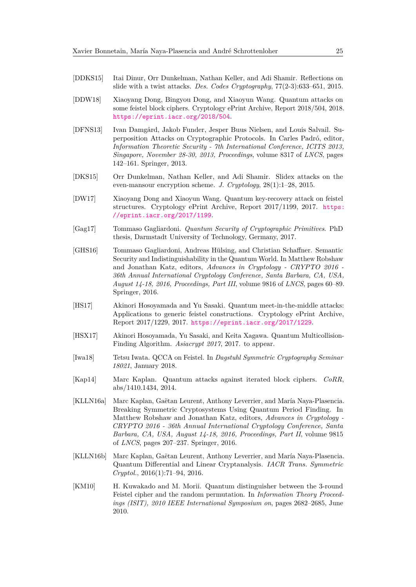- <span id="page-24-8"></span>[DDKS15] Itai Dinur, Orr Dunkelman, Nathan Keller, and Adi Shamir. Reflections on slide with a twist attacks. *Des. Codes Cryptography*, 77(2-3):633–651, 2015.
- <span id="page-24-5"></span>[DDW18] Xiaoyang Dong, Bingyou Dong, and Xiaoyun Wang. Quantum attacks on some feistel block ciphers. Cryptology ePrint Archive, Report 2018/504, 2018. <https://eprint.iacr.org/2018/504>.
- <span id="page-24-10"></span>[DFNS13] Ivan Damgård, Jakob Funder, Jesper Buus Nielsen, and Louis Salvail. Superposition Attacks on Cryptographic Protocols. In Carles Padró, editor, *Information Theoretic Security - 7th International Conference, ICITS 2013, Singapore, November 28-30, 2013, Proceedings*, volume 8317 of *LNCS*, pages 142–161. Springer, 2013.
- <span id="page-24-9"></span>[DKS15] Orr Dunkelman, Nathan Keller, and Adi Shamir. Slidex attacks on the even-mansour encryption scheme. *J. Cryptology*, 28(1):1–28, 2015.
- <span id="page-24-6"></span>[DW17] Xiaoyang Dong and Xiaoyun Wang. Quantum key-recovery attack on feistel structures. Cryptology ePrint Archive, Report 2017/1199, 2017. [https:](https://eprint.iacr.org/2017/1199) [//eprint.iacr.org/2017/1199](https://eprint.iacr.org/2017/1199).
- <span id="page-24-12"></span>[Gag17] Tommaso Gagliardoni. *Quantum Security of Cryptographic Primitives*. PhD thesis, Darmstadt University of Technology, Germany, 2017.
- <span id="page-24-11"></span>[GHS16] Tommaso Gagliardoni, Andreas Hülsing, and Christian Schaffner. Semantic Security and Indistinguishability in the Quantum World. In Matthew Robshaw and Jonathan Katz, editors, *Advances in Cryptology - CRYPTO 2016 - 36th Annual International Cryptology Conference, Santa Barbara, CA, USA, August 14-18, 2016, Proceedings, Part III*, volume 9816 of *LNCS*, pages 60–89. Springer, 2016.
- <span id="page-24-7"></span>[HS17] Akinori Hosoyamada and Yu Sasaki. Quantum meet-in-the-middle attacks: Applications to generic feistel constructions. Cryptology ePrint Archive, Report 2017/1229, 2017. <https://eprint.iacr.org/2017/1229>.
- <span id="page-24-2"></span>[HSX17] Akinori Hosoyamada, Yu Sasaki, and Keita Xagawa. Quantum Multicollision-Finding Algorithm. *Asiacrypt 2017*, 2017. to appear.
- <span id="page-24-13"></span>[Iwa18] Tetsu Iwata. QCCA on Feistel. In *Dagstuhl Symmetric Cryptography Seminar 18021*, January 2018.
- <span id="page-24-0"></span>[Kap14] Marc Kaplan. Quantum attacks against iterated block ciphers. *CoRR*, abs/1410.1434, 2014.
- <span id="page-24-4"></span>[KLLN16a] Marc Kaplan, Gaëtan Leurent, Anthony Leverrier, and María Naya-Plasencia. Breaking Symmetric Cryptosystems Using Quantum Period Finding. In Matthew Robshaw and Jonathan Katz, editors, *Advances in Cryptology - CRYPTO 2016 - 36th Annual International Cryptology Conference, Santa Barbara, CA, USA, August 14-18, 2016, Proceedings, Part II*, volume 9815 of *LNCS*, pages 207–237. Springer, 2016.
- <span id="page-24-1"></span>[KLLN16b] Marc Kaplan, Gaëtan Leurent, Anthony Leverrier, and María Naya-Plasencia. Quantum Differential and Linear Cryptanalysis. *IACR Trans. Symmetric Cryptol.*, 2016(1):71–94, 2016.
- <span id="page-24-3"></span>[KM10] H. Kuwakado and M. Morii. Quantum distinguisher between the 3-round Feistel cipher and the random permutation. In *Information Theory Proceedings (ISIT), 2010 IEEE International Symposium on*, pages 2682–2685, June 2010.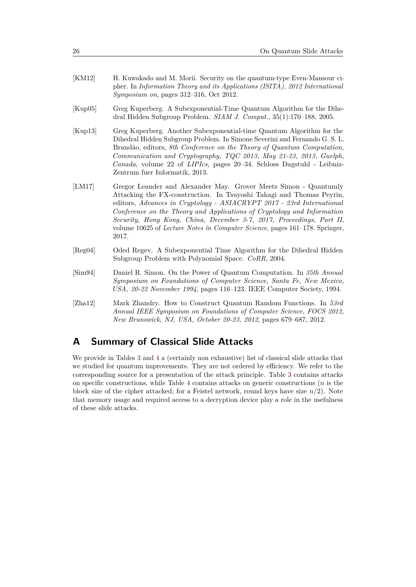- <span id="page-25-1"></span>[KM12] H. Kuwakado and M. Morii. Security on the quantum-type Even-Mansour cipher. In *Information Theory and its Applications (ISITA), 2012 International Symposium on*, pages 312–316, Oct 2012.
- <span id="page-25-3"></span>[Kup05] Greg Kuperberg. A Subexponential-Time Quantum Algorithm for the Dihedral Hidden Subgroup Problem. *SIAM J. Comput.*, 35(1):170–188, 2005.
- <span id="page-25-5"></span>[Kup13] Greg Kuperberg. Another Subexponential-time Quantum Algorithm for the Dihedral Hidden Subgroup Problem. In Simone Severini and Fernando G. S. L. Brandão, editors, *8th Conference on the Theory of Quantum Computation, Communication and Cryptography, TQC 2013, May 21-23, 2013, Guelph, Canada*, volume 22 of *LIPIcs*, pages 20–34. Schloss Dagstuhl - Leibniz-Zentrum fuer Informatik, 2013.
- <span id="page-25-0"></span>[LM17] Gregor Leander and Alexander May. Grover Meets Simon - Quantumly Attacking the FX-construction. In Tsuyoshi Takagi and Thomas Peyrin, editors, *Advances in Cryptology - ASIACRYPT 2017 - 23rd International Conference on the Theory and Applications of Cryptology and Information Security, Hong Kong, China, December 3-7, 2017, Proceedings, Part II*, volume 10625 of *Lecture Notes in Computer Science*, pages 161–178. Springer, 2017.
- <span id="page-25-6"></span>[Reg04] Oded Regev. A Subexponential Time Algorithm for the Dihedral Hidden Subgroup Problem with Polynomial Space. *CoRR*, 2004.
- <span id="page-25-2"></span>[Sim94] Daniel R. Simon. On the Power of Quantum Computation. In *35th Annual Symposium on Foundations of Computer Science, Santa Fe, New Mexico, USA, 20-22 November 1994*, pages 116–123. IEEE Computer Society, 1994.
- <span id="page-25-4"></span>[Zha12] Mark Zhandry. How to Construct Quantum Random Functions. In *53rd Annual IEEE Symposium on Foundations of Computer Science, FOCS 2012, New Brunswick, NJ, USA, October 20-23, 2012*, pages 679–687, 2012.

## **A Summary of Classical Slide Attacks**

We provide in Tables [3](#page-26-0) and [4](#page-27-0) a (certainly non exhaustive) list of classical slide attacks that we studied for quantum improvements. They are not ordered by efficiency. We refer to the corresponding source for a presentation of the attack principle. Table [3](#page-26-0) contains attacks on specific constructions, while Table [4](#page-27-0) contains attacks on generic constructions (*n* is the block size of the cipher attacked; for a Feistel network, round keys have size  $n/2$ ). Note that memory usage and required access to a decryption device play a role in the usefulness of these slide attacks.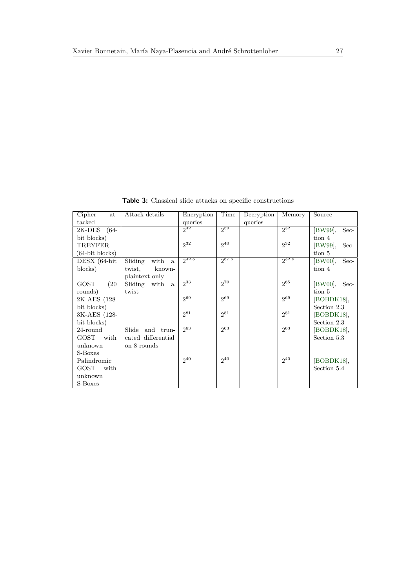**Table 3:** Classical slide attacks on specific constructions

<span id="page-26-0"></span>

| Cipher<br>at-      | Attack details                  | Encryption | Time       | Decryption | Memory     | Source          |
|--------------------|---------------------------------|------------|------------|------------|------------|-----------------|
| tacked             |                                 | queries    |            | queries    |            |                 |
| 2K-DES (64-        |                                 | $2^{32}$   | 250        |            | $2^{32}$   | [BW99],<br>Sec- |
| bit blocks)        |                                 |            |            |            |            | tion 4          |
| <b>TREYFER</b>     |                                 | $2^{32}$   | $2^{40}$   |            | $2^{32}$   | [BW99],<br>Sec- |
| $(64$ -bit blocks) |                                 |            |            |            |            | tion 5          |
| DESX (64-bit       | with<br>Sliding<br>$\mathbf{a}$ | $2^{32,5}$ | $2^{87,5}$ |            | $2^{32,5}$ | [BW00],<br>Sec- |
| blocks)            | twist,<br>known-                |            |            |            |            | tion 4          |
|                    | plaintext only                  |            |            |            |            |                 |
| GOST<br>(20)       | Sliding with<br><sub>a</sub>    | $2^{33}$   | $2^{70}$   |            | $2^{65}$   | $[BW00],$ Sec-  |
| rounds)            | twist                           |            |            |            |            | tion 5          |
| 2K-AES (128-       |                                 | 200        | $2^{69}$   |            | $2^{69}$   | BOBDK18,        |
| bit blocks)        |                                 |            |            |            |            | Section 2.3     |
| 3K-AES (128-       |                                 | $2^{81}$   | $2^{81}$   |            | $2^{81}$   | [BOBDK18],      |
| bit blocks)        |                                 |            |            |            |            | Section 2.3     |
| 24-round           | Slide and trun-                 | $2^{63}$   | $2^{63}$   |            | $2^{63}$   | [BOBDK18],      |
| GOST with          | cated differential              |            |            |            |            | Section 5.3     |
| unknown            | on 8 rounds                     |            |            |            |            |                 |
| S-Boxes            |                                 |            |            |            |            |                 |
| Palindromic        |                                 | $2^{40}$   | $2^{40}$   |            | $2^{40}$   | [BOBDK18],      |
| GOST with          |                                 |            |            |            |            | Section 5.4     |
| unknown            |                                 |            |            |            |            |                 |
| S-Boxes            |                                 |            |            |            |            |                 |
|                    |                                 |            |            |            |            |                 |